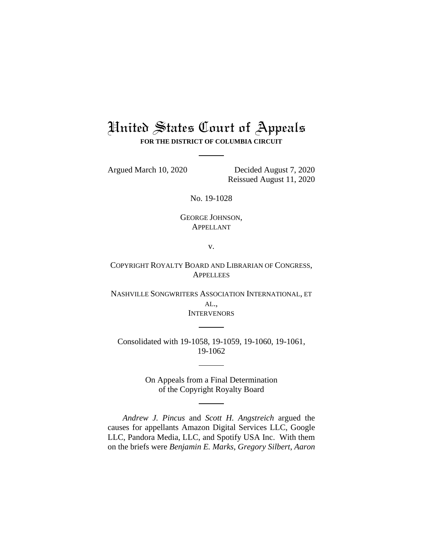# United States Court of Appeals **FOR THE DISTRICT OF COLUMBIA CIRCUIT**

Argued March 10, 2020 Decided August 7, 2020 Reissued August 11, 2020

No. 19-1028

GEORGE JOHNSON, APPELLANT

v.

COPYRIGHT ROYALTY BOARD AND LIBRARIAN OF CONGRESS, **APPELLEES** 

NASHVILLE SONGWRITERS ASSOCIATION INTERNATIONAL, ET AL., **INTERVENORS** 

Consolidated with 19-1058, 19-1059, 19-1060, 19-1061, 19-1062

> On Appeals from a Final Determination of the Copyright Royalty Board

*Andrew J. Pincus* and *Scott H. Angstreich* argued the causes for appellants Amazon Digital Services LLC, Google LLC, Pandora Media, LLC, and Spotify USA Inc. With them on the briefs were *Benjamin E. Marks*, *Gregory Silbert*, *Aaron*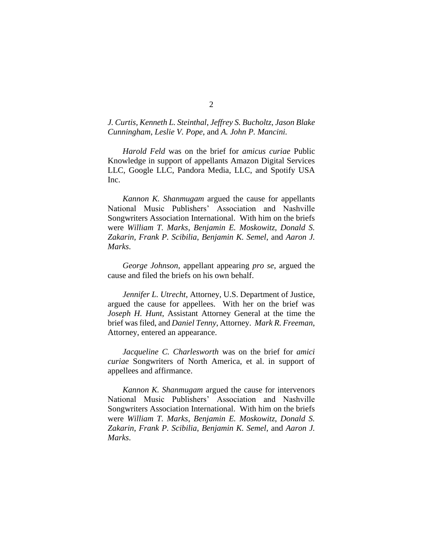# *J. Curtis*, *Kenneth L. Steinthal*, *Jeffrey S. Bucholtz*, *Jason Blake Cunningham*, *Leslie V. Pope*, and *A. John P. Mancini.*

*Harold Feld* was on the brief for *amicus curiae* Public Knowledge in support of appellants Amazon Digital Services LLC, Google LLC, Pandora Media, LLC, and Spotify USA Inc.

*Kannon K. Shanmugam* argued the cause for appellants National Music Publishers' Association and Nashville Songwriters Association International. With him on the briefs were *William T. Marks*, *Benjamin E. Moskowitz*, *Donald S. Zakarin*, *Frank P. Scibilia*, *Benjamin K. Semel*, and *Aaron J. Marks*.

*George Johnson*, appellant appearing *pro se*, argued the cause and filed the briefs on his own behalf.

*Jennifer L. Utrecht*, Attorney, U.S. Department of Justice, argued the cause for appellees. With her on the brief was *Joseph H. Hunt*, Assistant Attorney General at the time the brief was filed, and *Daniel Tenny*, Attorney. *Mark R. Freeman*, Attorney, entered an appearance.

*Jacqueline C. Charlesworth* was on the brief for *amici curiae* Songwriters of North America, et al. in support of appellees and affirmance.

*Kannon K. Shanmugam* argued the cause for intervenors National Music Publishers' Association and Nashville Songwriters Association International. With him on the briefs were *William T. Marks*, *Benjamin E. Moskowitz*, *Donald S. Zakarin*, *Frank P. Scibilia*, *Benjamin K. Semel*, and *Aaron J. Marks*.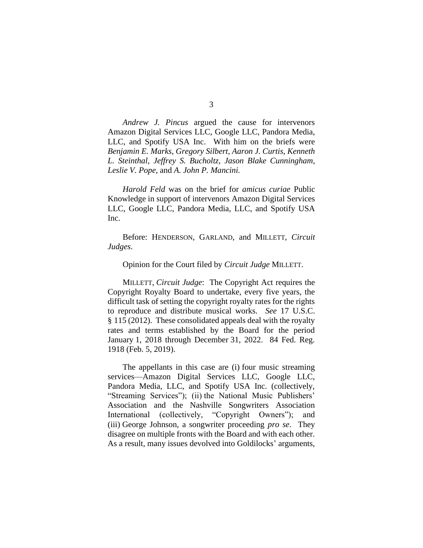*Andrew J. Pincus* argued the cause for intervenors Amazon Digital Services LLC, Google LLC, Pandora Media, LLC, and Spotify USA Inc. With him on the briefs were *Benjamin E. Marks*, *Gregory Silbert*, *Aaron J. Curtis*, *Kenneth L. Steinthal*, *Jeffrey S. Bucholtz*, *Jason Blake Cunningham*, *Leslie V. Pope*, and *A. John P. Mancini.*

*Harold Feld* was on the brief for *amicus curiae* Public Knowledge in support of intervenors Amazon Digital Services LLC, Google LLC, Pandora Media, LLC, and Spotify USA Inc.

Before: HENDERSON, GARLAND, and MILLETT, *Circuit Judges*.

#### Opinion for the Court filed by *Circuit Judge* MILLETT.

MILLETT, *Circuit Judge*: The Copyright Act requires the Copyright Royalty Board to undertake, every five years, the difficult task of setting the copyright royalty rates for the rights to reproduce and distribute musical works. *See* 17 U.S.C. § 115 (2012). These consolidated appeals deal with the royalty rates and terms established by the Board for the period January 1, 2018 through December 31, 2022. 84 Fed. Reg. 1918 (Feb. 5, 2019).

The appellants in this case are (i) four music streaming services—Amazon Digital Services LLC, Google LLC, Pandora Media, LLC, and Spotify USA Inc. (collectively, "Streaming Services"); (ii) the National Music Publishers' Association and the Nashville Songwriters Association International (collectively, "Copyright Owners"); and (iii) George Johnson, a songwriter proceeding *pro se*. They disagree on multiple fronts with the Board and with each other. As a result, many issues devolved into Goldilocks' arguments,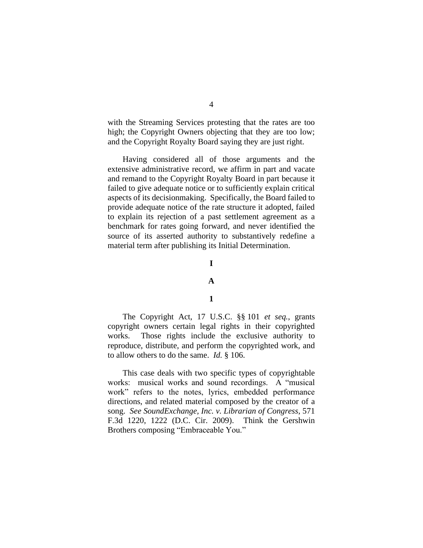with the Streaming Services protesting that the rates are too high; the Copyright Owners objecting that they are too low; and the Copyright Royalty Board saying they are just right.

Having considered all of those arguments and the extensive administrative record, we affirm in part and vacate and remand to the Copyright Royalty Board in part because it failed to give adequate notice or to sufficiently explain critical aspects of its decisionmaking. Specifically, the Board failed to provide adequate notice of the rate structure it adopted, failed to explain its rejection of a past settlement agreement as a benchmark for rates going forward, and never identified the source of its asserted authority to substantively redefine a material term after publishing its Initial Determination.

## **I**

#### **A**

#### **1**

The Copyright Act, 17 U.S.C. §§ 101 *et seq.*, grants copyright owners certain legal rights in their copyrighted works. Those rights include the exclusive authority to reproduce, distribute, and perform the copyrighted work, and to allow others to do the same. *Id.* § 106.

This case deals with two specific types of copyrightable works: musical works and sound recordings. A "musical work" refers to the notes, lyrics, embedded performance directions, and related material composed by the creator of a song. *See SoundExchange, Inc. v. Librarian of Congress*, 571 F.3d 1220, 1222 (D.C. Cir. 2009). Think the Gershwin Brothers composing "Embraceable You."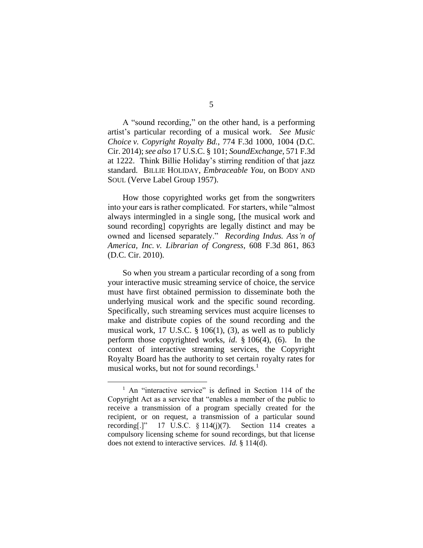A "sound recording," on the other hand, is a performing artist's particular recording of a musical work. *See Music Choice v. Copyright Royalty Bd.*, 774 F.3d 1000, 1004 (D.C. Cir. 2014); *see also* 17 U.S.C. § 101; *SoundExchange*, 571 F.3d at 1222. Think Billie Holiday's stirring rendition of that jazz standard. BILLIE HOLIDAY, *Embraceable You*, on BODY AND

SOUL (Verve Label Group 1957).

How those copyrighted works get from the songwriters into your ears is rather complicated. For starters, while "almost always intermingled in a single song, [the musical work and sound recording] copyrights are legally distinct and may be owned and licensed separately." *Recording Indus. Ass'n of America, Inc. v. Librarian of Congress*, 608 F.3d 861, 863 (D.C. Cir. 2010).

So when you stream a particular recording of a song from your interactive music streaming service of choice, the service must have first obtained permission to disseminate both the underlying musical work and the specific sound recording. Specifically, such streaming services must acquire licenses to make and distribute copies of the sound recording and the musical work, 17 U.S.C.  $\S$  106(1), (3), as well as to publicly perform those copyrighted works, *id*. § 106(4), (6). In the context of interactive streaming services, the Copyright Royalty Board has the authority to set certain royalty rates for musical works, but not for sound recordings.<sup>1</sup>

<sup>&</sup>lt;sup>1</sup> An "interactive service" is defined in Section 114 of the Copyright Act as a service that "enables a member of the public to receive a transmission of a program specially created for the recipient, or on request, a transmission of a particular sound recording[.]" 17 U.S.C.  $\S 114(i)(7)$ . Section 114 creates a compulsory licensing scheme for sound recordings, but that license does not extend to interactive services. *Id.* § 114(d).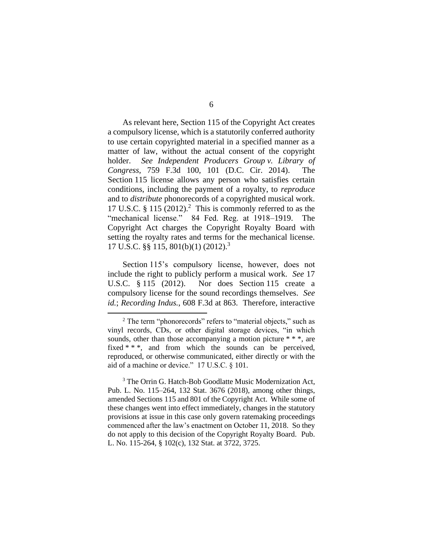As relevant here, Section 115 of the Copyright Act creates a compulsory license, which is a statutorily conferred authority to use certain copyrighted material in a specified manner as a matter of law, without the actual consent of the copyright holder. *See Independent Producers Group v. Library of Congress*, 759 F.3d 100, 101 (D.C. Cir. 2014). The Section 115 license allows any person who satisfies certain conditions, including the payment of a royalty, to *reproduce*  and to *distribute* phonorecords of a copyrighted musical work. 17 U.S.C.  $\S 115 (2012).$ <sup>2</sup> This is commonly referred to as the "mechanical license." 84 Fed. Reg. at 1918–1919. The Copyright Act charges the Copyright Royalty Board with setting the royalty rates and terms for the mechanical license. 17 U.S.C. §§ 115, 801(b)(1) (2012). 3

Section 115's compulsory license, however, does not include the right to publicly perform a musical work. *See* 17 U.S.C. § 115 (2012). Nor does Section 115 create a compulsory license for the sound recordings themselves. *See id.*; *Recording Indus.*, 608 F.3d at 863. Therefore, interactive

<sup>3</sup> The Orrin G. Hatch-Bob Goodlatte Music Modernization Act, Pub. L. No. 115–264, 132 Stat. 3676 (2018), among other things, amended Sections 115 and 801 of the Copyright Act. While some of these changes went into effect immediately, changes in the statutory provisions at issue in this case only govern ratemaking proceedings commenced after the law's enactment on October 11, 2018. So they do not apply to this decision of the Copyright Royalty Board. Pub. L. No. 115-264, § 102(c), 132 Stat. at 3722, 3725.

 $2$  The term "phonorecords" refers to "material objects," such as vinyl records, CDs, or other digital storage devices, "in which sounds, other than those accompanying a motion picture \* \* \*, are fixed \* \* \*, and from which the sounds can be perceived, reproduced, or otherwise communicated, either directly or with the aid of a machine or device." 17 U.S.C. § 101.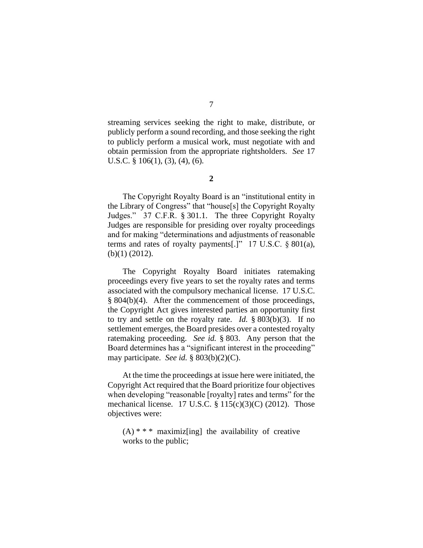streaming services seeking the right to make, distribute, or publicly perform a sound recording, and those seeking the right to publicly perform a musical work, must negotiate with and obtain permission from the appropriate rightsholders. *See* 17 U.S.C. § 106(1), (3), (4), (6).

**2**

The Copyright Royalty Board is an "institutional entity in the Library of Congress" that "house[s] the Copyright Royalty Judges." 37 C.F.R. § 301.1. The three Copyright Royalty Judges are responsible for presiding over royalty proceedings and for making "determinations and adjustments of reasonable terms and rates of royalty payments[.]" 17 U.S.C. § 801(a), (b)(1) (2012).

The Copyright Royalty Board initiates ratemaking proceedings every five years to set the royalty rates and terms associated with the compulsory mechanical license. 17 U.S.C. § 804(b)(4). After the commencement of those proceedings, the Copyright Act gives interested parties an opportunity first to try and settle on the royalty rate. *Id.* § 803(b)(3). If no settlement emerges, the Board presides over a contested royalty ratemaking proceeding. *See id.* § 803. Any person that the Board determines has a "significant interest in the proceeding" may participate. *See id.* § 803(b)(2)(C).

At the time the proceedings at issue here were initiated, the Copyright Act required that the Board prioritize four objectives when developing "reasonable [royalty] rates and terms" for the mechanical license. 17 U.S.C. § 115(c)(3)(C) (2012). Those objectives were:

 $(A)$  \* \* \* maximiz[ing] the availability of creative works to the public;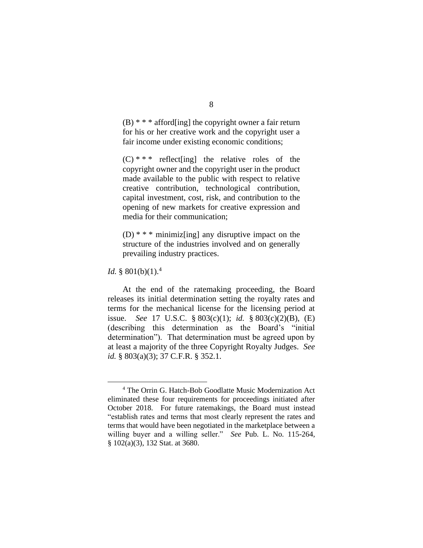$(B)$  \* \* \* afford [ing] the copyright owner a fair return for his or her creative work and the copyright user a fair income under existing economic conditions;

 $(C)$  \* \* \* reflect[ing] the relative roles of the copyright owner and the copyright user in the product made available to the public with respect to relative creative contribution, technological contribution, capital investment, cost, risk, and contribution to the opening of new markets for creative expression and media for their communication;

(D)  $* * *$  minimiz[ing] any disruptive impact on the structure of the industries involved and on generally prevailing industry practices.

*Id.* § 801(b)(1).<sup>4</sup>

At the end of the ratemaking proceeding, the Board releases its initial determination setting the royalty rates and terms for the mechanical license for the licensing period at issue. *See* 17 U.S.C. § 803(c)(1); *id.* § 803(c)(2)(B), (E) (describing this determination as the Board's "initial determination"). That determination must be agreed upon by at least a majority of the three Copyright Royalty Judges. *See id.* § 803(a)(3); 37 C.F.R. § 352.1.

<sup>4</sup> The Orrin G. Hatch-Bob Goodlatte Music Modernization Act eliminated these four requirements for proceedings initiated after October 2018. For future ratemakings, the Board must instead "establish rates and terms that most clearly represent the rates and terms that would have been negotiated in the marketplace between a willing buyer and a willing seller." *See* Pub. L. No. 115-264, § 102(a)(3), 132 Stat. at 3680.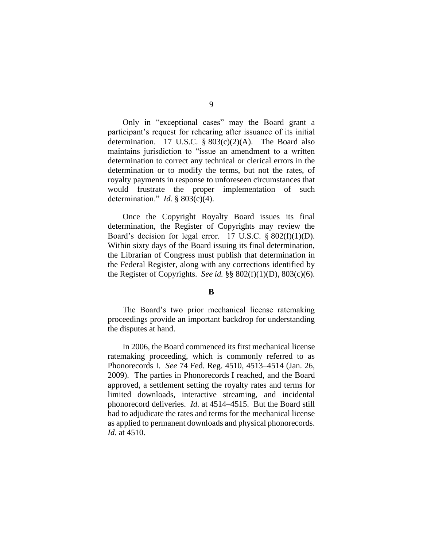Only in "exceptional cases" may the Board grant a participant's request for rehearing after issuance of its initial determination. 17 U.S.C.  $\S 803(c)(2)$ (A). The Board also maintains jurisdiction to "issue an amendment to a written determination to correct any technical or clerical errors in the determination or to modify the terms, but not the rates, of royalty payments in response to unforeseen circumstances that would frustrate the proper implementation of such determination." *Id.* § 803(c)(4).

Once the Copyright Royalty Board issues its final determination, the Register of Copyrights may review the Board's decision for legal error. 17 U.S.C.  $\S 802(f)(1)(D)$ . Within sixty days of the Board issuing its final determination, the Librarian of Congress must publish that determination in the Federal Register, along with any corrections identified by the Register of Copyrights. *See id.* §§ 802(f)(1)(D), 803(c)(6).

## **B**

The Board's two prior mechanical license ratemaking proceedings provide an important backdrop for understanding the disputes at hand.

In 2006, the Board commenced its first mechanical license ratemaking proceeding, which is commonly referred to as Phonorecords I. *See* 74 Fed. Reg. 4510, 4513–4514 (Jan. 26, 2009). The parties in Phonorecords I reached, and the Board approved, a settlement setting the royalty rates and terms for limited downloads, interactive streaming, and incidental phonorecord deliveries. *Id.* at 4514–4515. But the Board still had to adjudicate the rates and terms for the mechanical license as applied to permanent downloads and physical phonorecords. *Id.* at 4510.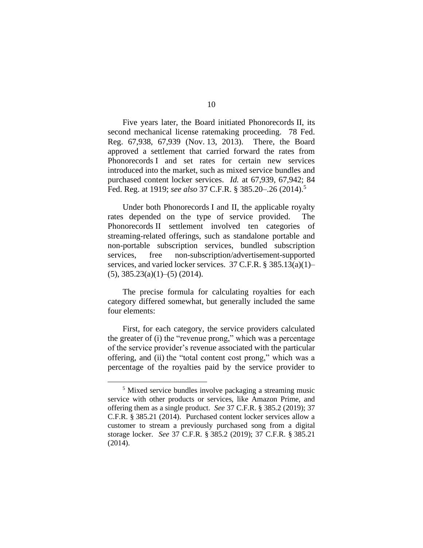Five years later, the Board initiated Phonorecords II, its second mechanical license ratemaking proceeding. 78 Fed. Reg. 67,938, 67,939 (Nov. 13, 2013). There, the Board approved a settlement that carried forward the rates from Phonorecords I and set rates for certain new services introduced into the market, such as mixed service bundles and purchased content locker services. *Id.* at 67,939, 67,942; 84 Fed. Reg. at 1919; *see also* 37 C.F.R. § 385.20–.26 (2014).<sup>5</sup>

Under both Phonorecords I and II, the applicable royalty rates depended on the type of service provided. The Phonorecords II settlement involved ten categories of streaming-related offerings, such as standalone portable and non-portable subscription services, bundled subscription services, free non-subscription/advertisement-supported services, and varied locker services. 37 C.F.R. § 385.13(a)(1)–  $(5)$ , 385.23 $(a)(1)$ – $(5)$   $(2014)$ .

The precise formula for calculating royalties for each category differed somewhat, but generally included the same four elements:

First, for each category, the service providers calculated the greater of (i) the "revenue prong," which was a percentage of the service provider's revenue associated with the particular offering, and (ii) the "total content cost prong," which was a percentage of the royalties paid by the service provider to

<sup>&</sup>lt;sup>5</sup> Mixed service bundles involve packaging a streaming music service with other products or services, like Amazon Prime, and offering them as a single product. *See* 37 C.F.R. § 385.2 (2019); 37 C.F.R. § 385.21 (2014). Purchased content locker services allow a customer to stream a previously purchased song from a digital storage locker. *See* 37 C.F.R. § 385.2 (2019); 37 C.F.R. § 385.21 (2014).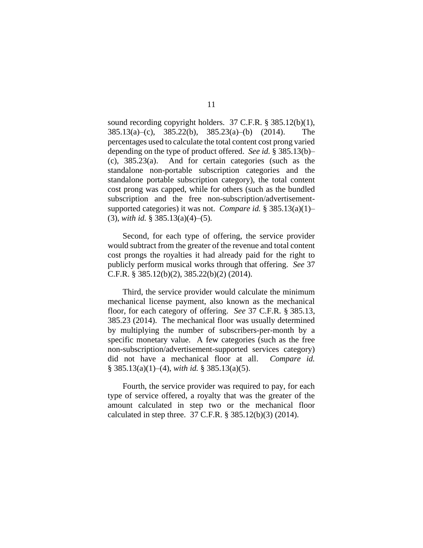sound recording copyright holders. 37 C.F.R. § 385.12(b)(1), 385.13(a)–(c), 385.22(b), 385.23(a)–(b) (2014). The percentages used to calculate the total content cost prong varied depending on the type of product offered. *See id.* § 385.13(b)– (c), 385.23(a). And for certain categories (such as the standalone non-portable subscription categories and the standalone portable subscription category), the total content cost prong was capped, while for others (such as the bundled subscription and the free non-subscription/advertisementsupported categories) it was not. *Compare id.* § 385.13(a)(1)– (3), *with id.* § 385.13(a)(4)–(5).

Second, for each type of offering, the service provider would subtract from the greater of the revenue and total content cost prongs the royalties it had already paid for the right to publicly perform musical works through that offering. *See* 37 C.F.R. § 385.12(b)(2), 385.22(b)(2) (2014).

Third, the service provider would calculate the minimum mechanical license payment, also known as the mechanical floor, for each category of offering. *See* 37 C.F.R. § 385.13, 385.23 (2014). The mechanical floor was usually determined by multiplying the number of subscribers-per-month by a specific monetary value. A few categories (such as the free non-subscription/advertisement-supported services category) did not have a mechanical floor at all. *Compare id.*  § 385.13(a)(1)–(4), *with id.* § 385.13(a)(5).

Fourth, the service provider was required to pay, for each type of service offered, a royalty that was the greater of the amount calculated in step two or the mechanical floor calculated in step three. 37 C.F.R. § 385.12(b)(3) (2014).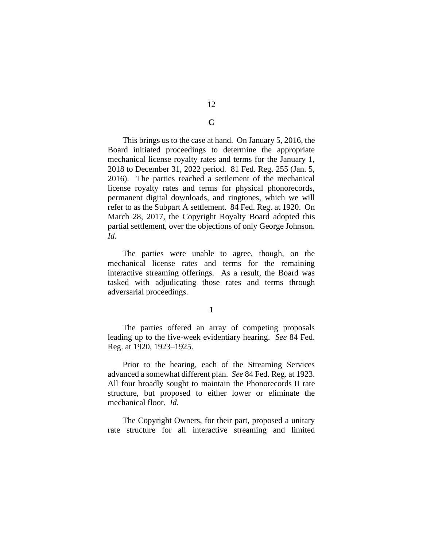This brings us to the case at hand. On January 5, 2016, the Board initiated proceedings to determine the appropriate mechanical license royalty rates and terms for the January 1, 2018 to December 31, 2022 period. 81 Fed. Reg. 255 (Jan. 5, 2016). The parties reached a settlement of the mechanical license royalty rates and terms for physical phonorecords, permanent digital downloads, and ringtones, which we will refer to as the Subpart A settlement. 84 Fed. Reg. at 1920. On March 28, 2017, the Copyright Royalty Board adopted this partial settlement, over the objections of only George Johnson. *Id.*

The parties were unable to agree, though, on the mechanical license rates and terms for the remaining interactive streaming offerings. As a result, the Board was tasked with adjudicating those rates and terms through adversarial proceedings.

#### **1**

The parties offered an array of competing proposals leading up to the five-week evidentiary hearing. *See* 84 Fed. Reg. at 1920, 1923–1925.

Prior to the hearing, each of the Streaming Services advanced a somewhat different plan. *See* 84 Fed. Reg. at 1923. All four broadly sought to maintain the Phonorecords II rate structure, but proposed to either lower or eliminate the mechanical floor. *Id.*

The Copyright Owners, for their part, proposed a unitary rate structure for all interactive streaming and limited

# 12

**C**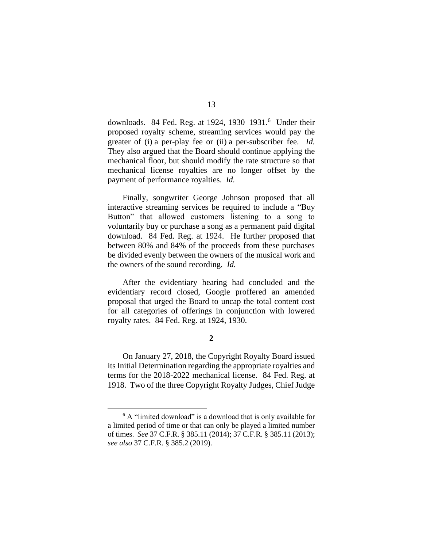downloads. 84 Fed. Reg. at 1924, 1930–1931.<sup>6</sup> Under their proposed royalty scheme, streaming services would pay the greater of (i) a per-play fee or (ii) a per-subscriber fee. *Id.* They also argued that the Board should continue applying the mechanical floor, but should modify the rate structure so that mechanical license royalties are no longer offset by the payment of performance royalties. *Id.*

Finally, songwriter George Johnson proposed that all interactive streaming services be required to include a "Buy Button" that allowed customers listening to a song to voluntarily buy or purchase a song as a permanent paid digital download. 84 Fed. Reg. at 1924. He further proposed that between 80% and 84% of the proceeds from these purchases be divided evenly between the owners of the musical work and the owners of the sound recording. *Id.*

After the evidentiary hearing had concluded and the evidentiary record closed, Google proffered an amended proposal that urged the Board to uncap the total content cost for all categories of offerings in conjunction with lowered royalty rates. 84 Fed. Reg. at 1924, 1930.

## **2**

On January 27, 2018, the Copyright Royalty Board issued its Initial Determination regarding the appropriate royalties and terms for the 2018-2022 mechanical license. 84 Fed. Reg. at 1918. Two of the three Copyright Royalty Judges, Chief Judge

<sup>6</sup> A "limited download" is a download that is only available for a limited period of time or that can only be played a limited number of times. *See* 37 C.F.R. § 385.11 (2014); 37 C.F.R. § 385.11 (2013); *see also* 37 C.F.R. § 385.2 (2019).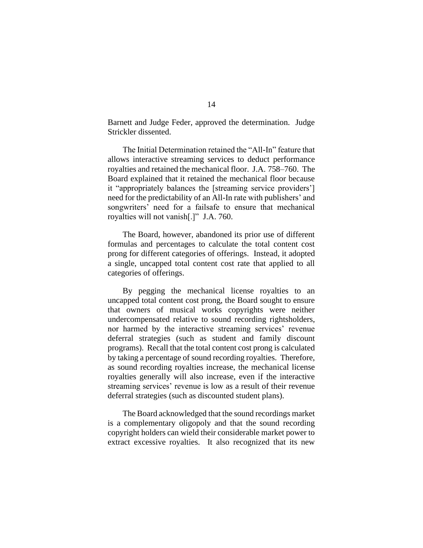Barnett and Judge Feder, approved the determination. Judge Strickler dissented.

The Initial Determination retained the "All-In" feature that allows interactive streaming services to deduct performance royalties and retained the mechanical floor. J.A. 758–760. The Board explained that it retained the mechanical floor because it "appropriately balances the [streaming service providers'] need for the predictability of an All-In rate with publishers' and songwriters' need for a failsafe to ensure that mechanical royalties will not vanish[.]" J.A. 760.

The Board, however, abandoned its prior use of different formulas and percentages to calculate the total content cost prong for different categories of offerings. Instead, it adopted a single, uncapped total content cost rate that applied to all categories of offerings.

By pegging the mechanical license royalties to an uncapped total content cost prong, the Board sought to ensure that owners of musical works copyrights were neither undercompensated relative to sound recording rightsholders, nor harmed by the interactive streaming services' revenue deferral strategies (such as student and family discount programs). Recall that the total content cost prong is calculated by taking a percentage of sound recording royalties. Therefore, as sound recording royalties increase, the mechanical license royalties generally will also increase, even if the interactive streaming services' revenue is low as a result of their revenue deferral strategies (such as discounted student plans).

The Board acknowledged that the sound recordings market is a complementary oligopoly and that the sound recording copyright holders can wield their considerable market power to extract excessive royalties. It also recognized that its new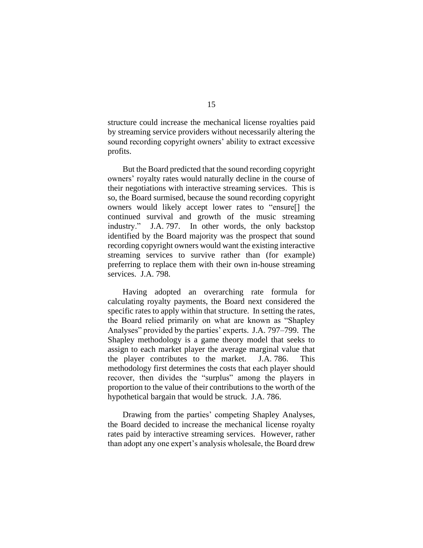structure could increase the mechanical license royalties paid by streaming service providers without necessarily altering the sound recording copyright owners' ability to extract excessive profits.

But the Board predicted that the sound recording copyright owners' royalty rates would naturally decline in the course of their negotiations with interactive streaming services. This is so, the Board surmised, because the sound recording copyright owners would likely accept lower rates to "ensure[] the continued survival and growth of the music streaming industry." J.A. 797. In other words, the only backstop identified by the Board majority was the prospect that sound recording copyright owners would want the existing interactive streaming services to survive rather than (for example) preferring to replace them with their own in-house streaming services. J.A. 798.

Having adopted an overarching rate formula for calculating royalty payments, the Board next considered the specific rates to apply within that structure. In setting the rates, the Board relied primarily on what are known as "Shapley Analyses" provided by the parties' experts. J.A. 797–799. The Shapley methodology is a game theory model that seeks to assign to each market player the average marginal value that the player contributes to the market. J.A. 786. This methodology first determines the costs that each player should recover, then divides the "surplus" among the players in proportion to the value of their contributions to the worth of the hypothetical bargain that would be struck. J.A. 786.

Drawing from the parties' competing Shapley Analyses, the Board decided to increase the mechanical license royalty rates paid by interactive streaming services. However, rather than adopt any one expert's analysis wholesale, the Board drew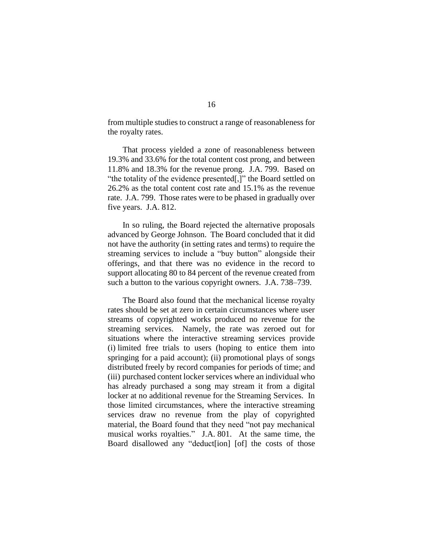from multiple studies to construct a range of reasonableness for the royalty rates.

That process yielded a zone of reasonableness between 19.3% and 33.6% for the total content cost prong, and between 11.8% and 18.3% for the revenue prong. J.A. 799. Based on "the totality of the evidence presented[,]" the Board settled on 26.2% as the total content cost rate and 15.1% as the revenue rate. J.A. 799. Those rates were to be phased in gradually over five years. J.A. 812.

In so ruling, the Board rejected the alternative proposals advanced by George Johnson. The Board concluded that it did not have the authority (in setting rates and terms) to require the streaming services to include a "buy button" alongside their offerings, and that there was no evidence in the record to support allocating 80 to 84 percent of the revenue created from such a button to the various copyright owners. J.A. 738–739.

The Board also found that the mechanical license royalty rates should be set at zero in certain circumstances where user streams of copyrighted works produced no revenue for the streaming services. Namely, the rate was zeroed out for situations where the interactive streaming services provide (i) limited free trials to users (hoping to entice them into springing for a paid account); (ii) promotional plays of songs distributed freely by record companies for periods of time; and (iii) purchased content locker services where an individual who has already purchased a song may stream it from a digital locker at no additional revenue for the Streaming Services. In those limited circumstances, where the interactive streaming services draw no revenue from the play of copyrighted material, the Board found that they need "not pay mechanical musical works royalties." J.A. 801. At the same time, the Board disallowed any "deduct[ion] [of] the costs of those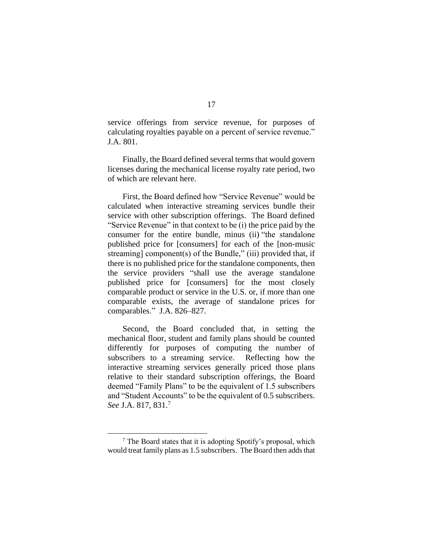service offerings from service revenue, for purposes of calculating royalties payable on a percent of service revenue." J.A. 801.

Finally, the Board defined several terms that would govern licenses during the mechanical license royalty rate period, two of which are relevant here.

First, the Board defined how "Service Revenue" would be calculated when interactive streaming services bundle their service with other subscription offerings. The Board defined "Service Revenue" in that context to be (i) the price paid by the consumer for the entire bundle, minus (ii) "the standalone published price for [consumers] for each of the [non-music streaming] component(s) of the Bundle," (iii) provided that, if there is no published price for the standalone components, then the service providers "shall use the average standalone published price for [consumers] for the most closely comparable product or service in the U.S. or, if more than one comparable exists, the average of standalone prices for comparables." J.A. 826–827.

Second, the Board concluded that, in setting the mechanical floor, student and family plans should be counted differently for purposes of computing the number of subscribers to a streaming service. Reflecting how the interactive streaming services generally priced those plans relative to their standard subscription offerings, the Board deemed "Family Plans" to be the equivalent of 1.5 subscribers and "Student Accounts" to be the equivalent of 0.5 subscribers. *See* J.A. 817, 831.<sup>7</sup>

 $<sup>7</sup>$  The Board states that it is adopting Spotify's proposal, which</sup> would treat family plans as 1.5 subscribers. The Board then adds that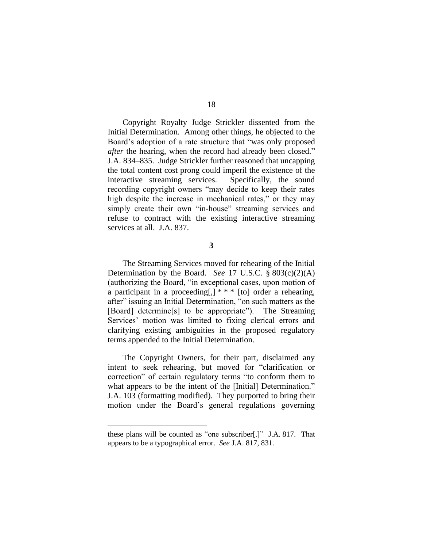Copyright Royalty Judge Strickler dissented from the Initial Determination. Among other things, he objected to the Board's adoption of a rate structure that "was only proposed *after* the hearing, when the record had already been closed." J.A. 834–835. Judge Strickler further reasoned that uncapping the total content cost prong could imperil the existence of the interactive streaming services. Specifically, the sound recording copyright owners "may decide to keep their rates high despite the increase in mechanical rates," or they may simply create their own "in-house" streaming services and refuse to contract with the existing interactive streaming services at all. J.A. 837.

**3**

The Streaming Services moved for rehearing of the Initial Determination by the Board. *See* 17 U.S.C. § 803(c)(2)(A) (authorizing the Board, "in exceptional cases, upon motion of a participant in a proceeding[,] \* \* \* [to] order a rehearing, after" issuing an Initial Determination, "on such matters as the [Board] determine[s] to be appropriate"). The Streaming Services' motion was limited to fixing clerical errors and clarifying existing ambiguities in the proposed regulatory terms appended to the Initial Determination.

The Copyright Owners, for their part, disclaimed any intent to seek rehearing, but moved for "clarification or correction" of certain regulatory terms "to conform them to what appears to be the intent of the [Initial] Determination." J.A. 103 (formatting modified). They purported to bring their motion under the Board's general regulations governing

these plans will be counted as "one subscriber[.]" J.A. 817. That appears to be a typographical error. *See* J.A. 817, 831.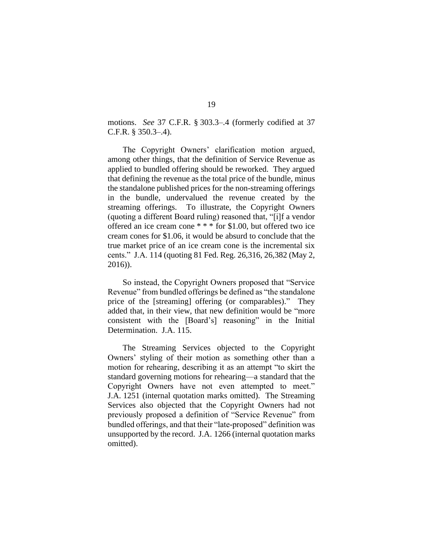motions. *See* 37 C.F.R. § 303.3–.4 (formerly codified at 37 C.F.R. § 350.3–.4).

The Copyright Owners' clarification motion argued, among other things, that the definition of Service Revenue as applied to bundled offering should be reworked. They argued that defining the revenue as the total price of the bundle, minus the standalone published prices for the non-streaming offerings in the bundle, undervalued the revenue created by the streaming offerings. To illustrate, the Copyright Owners (quoting a different Board ruling) reasoned that, "[i]f a vendor offered an ice cream cone \* \* \* for \$1.00, but offered two ice cream cones for \$1.06, it would be absurd to conclude that the true market price of an ice cream cone is the incremental six cents." J.A. 114 (quoting 81 Fed. Reg. 26,316, 26,382 (May 2, 2016)).

So instead, the Copyright Owners proposed that "Service Revenue" from bundled offerings be defined as "the standalone price of the [streaming] offering (or comparables)." They added that, in their view, that new definition would be "more consistent with the [Board's] reasoning" in the Initial Determination. J.A. 115.

The Streaming Services objected to the Copyright Owners' styling of their motion as something other than a motion for rehearing, describing it as an attempt "to skirt the standard governing motions for rehearing—a standard that the Copyright Owners have not even attempted to meet." J.A. 1251 (internal quotation marks omitted). The Streaming Services also objected that the Copyright Owners had not previously proposed a definition of "Service Revenue" from bundled offerings, and that their "late-proposed" definition was unsupported by the record. J.A. 1266 (internal quotation marks omitted).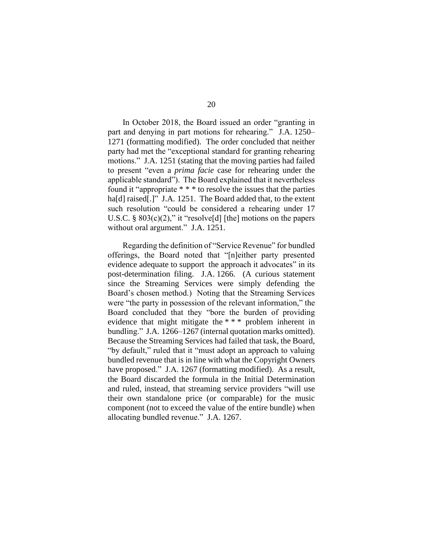In October 2018, the Board issued an order "granting in part and denying in part motions for rehearing." J.A. 1250– 1271 (formatting modified). The order concluded that neither party had met the "exceptional standard for granting rehearing motions." J.A. 1251 (stating that the moving parties had failed to present "even a *prima facie* case for rehearing under the applicable standard"). The Board explained that it nevertheless found it "appropriate \* \* \* to resolve the issues that the parties ha<sup>[d]</sup> raised<sup>[1]</sup> J.A. 1251. The Board added that, to the extent such resolution "could be considered a rehearing under 17 U.S.C. §  $803(c)(2)$ ," it "resolve[d] [the] motions on the papers without oral argument." J.A. 1251.

Regarding the definition of "Service Revenue" for bundled offerings, the Board noted that "[n]either party presented evidence adequate to support the approach it advocates" in its post-determination filing. J.A. 1266. (A curious statement since the Streaming Services were simply defending the Board's chosen method.) Noting that the Streaming Services were "the party in possession of the relevant information," the Board concluded that they "bore the burden of providing evidence that might mitigate the \* \* \* problem inherent in bundling." J.A. 1266–1267 (internal quotation marks omitted). Because the Streaming Services had failed that task, the Board, "by default," ruled that it "must adopt an approach to valuing bundled revenue that is in line with what the Copyright Owners have proposed." J.A. 1267 (formatting modified). As a result, the Board discarded the formula in the Initial Determination and ruled, instead, that streaming service providers "will use their own standalone price (or comparable) for the music component (not to exceed the value of the entire bundle) when allocating bundled revenue." J.A. 1267.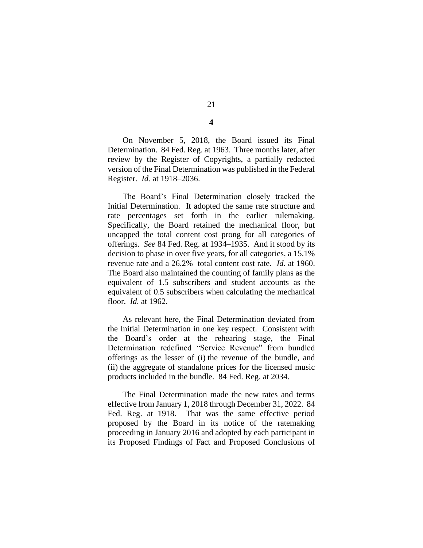On November 5, 2018, the Board issued its Final Determination. 84 Fed. Reg. at 1963. Three months later, after review by the Register of Copyrights, a partially redacted version of the Final Determination was published in the Federal Register. *Id.* at 1918–2036.

The Board's Final Determination closely tracked the Initial Determination. It adopted the same rate structure and rate percentages set forth in the earlier rulemaking. Specifically, the Board retained the mechanical floor, but uncapped the total content cost prong for all categories of offerings. *See* 84 Fed. Reg. at 1934–1935. And it stood by its decision to phase in over five years, for all categories, a 15.1% revenue rate and a 26.2% total content cost rate. *Id.* at 1960. The Board also maintained the counting of family plans as the equivalent of 1.5 subscribers and student accounts as the equivalent of 0.5 subscribers when calculating the mechanical floor. *Id.* at 1962.

As relevant here, the Final Determination deviated from the Initial Determination in one key respect. Consistent with the Board's order at the rehearing stage, the Final Determination redefined "Service Revenue" from bundled offerings as the lesser of (i) the revenue of the bundle, and (ii) the aggregate of standalone prices for the licensed music products included in the bundle. 84 Fed. Reg. at 2034.

The Final Determination made the new rates and terms effective from January 1, 2018 through December 31, 2022. 84 Fed. Reg. at 1918. That was the same effective period proposed by the Board in its notice of the ratemaking proceeding in January 2016 and adopted by each participant in its Proposed Findings of Fact and Proposed Conclusions of

# 21

**4**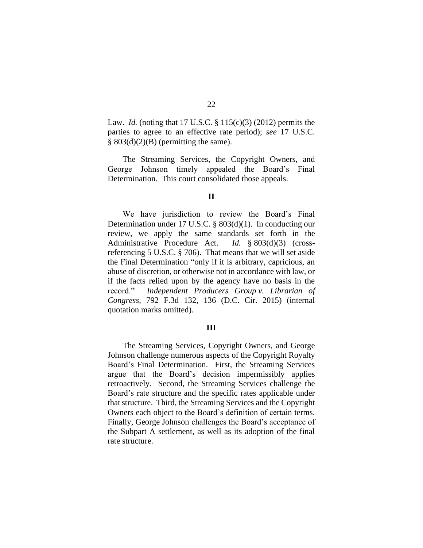Law. *Id.* (noting that 17 U.S.C. § 115(c)(3) (2012) permits the parties to agree to an effective rate period); *see* 17 U.S.C.  $§ 803(d)(2)(B)$  (permitting the same).

The Streaming Services, the Copyright Owners, and George Johnson timely appealed the Board's Final Determination. This court consolidated those appeals.

#### **II**

We have jurisdiction to review the Board's Final Determination under 17 U.S.C. § 803(d)(1). In conducting our review, we apply the same standards set forth in the Administrative Procedure Act. *Id.* § 803(d)(3) (crossreferencing 5 U.S.C. § 706). That means that we will set aside the Final Determination "only if it is arbitrary, capricious, an abuse of discretion, or otherwise not in accordance with law, or if the facts relied upon by the agency have no basis in the record." *Independent Producers Group v. Librarian of Congress*, 792 F.3d 132, 136 (D.C. Cir. 2015) (internal quotation marks omitted).

#### **III**

The Streaming Services, Copyright Owners, and George Johnson challenge numerous aspects of the Copyright Royalty Board's Final Determination. First, the Streaming Services argue that the Board's decision impermissibly applies retroactively. Second, the Streaming Services challenge the Board's rate structure and the specific rates applicable under that structure. Third, the Streaming Services and the Copyright Owners each object to the Board's definition of certain terms. Finally, George Johnson challenges the Board's acceptance of the Subpart A settlement, as well as its adoption of the final rate structure.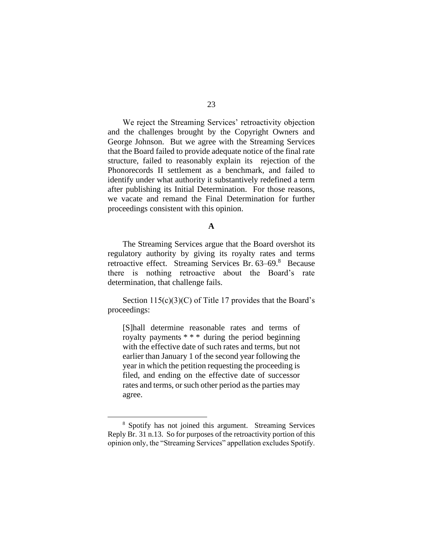We reject the Streaming Services' retroactivity objection and the challenges brought by the Copyright Owners and George Johnson. But we agree with the Streaming Services that the Board failed to provide adequate notice of the final rate structure, failed to reasonably explain its rejection of the Phonorecords II settlement as a benchmark, and failed to identify under what authority it substantively redefined a term after publishing its Initial Determination. For those reasons, we vacate and remand the Final Determination for further proceedings consistent with this opinion.

#### **A**

The Streaming Services argue that the Board overshot its regulatory authority by giving its royalty rates and terms retroactive effect. Streaming Services Br. 63–69.8 Because there is nothing retroactive about the Board's rate determination, that challenge fails.

Section  $115(c)(3)(C)$  of Title 17 provides that the Board's proceedings:

[S]hall determine reasonable rates and terms of royalty payments \* \* \* during the period beginning with the effective date of such rates and terms, but not earlier than January 1 of the second year following the year in which the petition requesting the proceeding is filed, and ending on the effective date of successor rates and terms, or such other period as the parties may agree.

<sup>8</sup> Spotify has not joined this argument. Streaming Services Reply Br. 31 n.13. So for purposes of the retroactivity portion of this opinion only, the "Streaming Services" appellation excludes Spotify.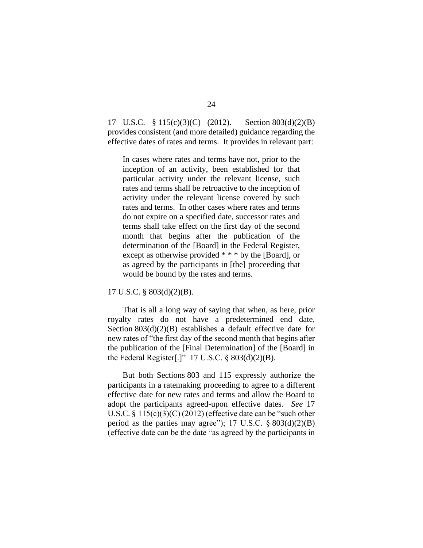17 U.S.C. § 115(c)(3)(C) (2012). Section 803(d)(2)(B) provides consistent (and more detailed) guidance regarding the effective dates of rates and terms. It provides in relevant part:

In cases where rates and terms have not, prior to the inception of an activity, been established for that particular activity under the relevant license, such rates and terms shall be retroactive to the inception of activity under the relevant license covered by such rates and terms. In other cases where rates and terms do not expire on a specified date, successor rates and terms shall take effect on the first day of the second month that begins after the publication of the determination of the [Board] in the Federal Register, except as otherwise provided \* \* \* by the [Board], or as agreed by the participants in [the] proceeding that would be bound by the rates and terms.

17 U.S.C. § 803(d)(2)(B).

That is all a long way of saying that when, as here, prior royalty rates do not have a predetermined end date, Section 803(d)(2)(B) establishes a default effective date for new rates of "the first day of the second month that begins after the publication of the [Final Determination] of the [Board] in the Federal Register[.]"  $17 \text{ U.S.C. }$  § 803(d)(2)(B).

But both Sections 803 and 115 expressly authorize the participants in a ratemaking proceeding to agree to a different effective date for new rates and terms and allow the Board to adopt the participants agreed-upon effective dates. *See* 17 U.S.C. § 115(c)(3)(C) (2012) (effective date can be "such other period as the parties may agree"); 17 U.S.C.  $\S 803(d)(2)(B)$ (effective date can be the date "as agreed by the participants in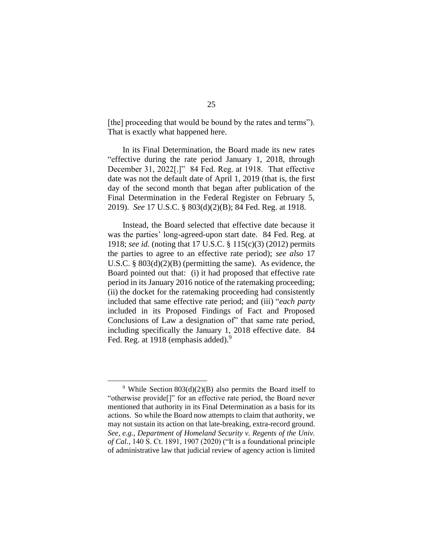[the] proceeding that would be bound by the rates and terms"). That is exactly what happened here.

In its Final Determination, the Board made its new rates "effective during the rate period January 1, 2018, through December 31, 2022[.]" 84 Fed. Reg. at 1918. That effective date was not the default date of April 1, 2019 (that is, the first day of the second month that began after publication of the Final Determination in the Federal Register on February 5, 2019). *See* 17 U.S.C. § 803(d)(2)(B); 84 Fed. Reg. at 1918.

Instead, the Board selected that effective date because it was the parties' long-agreed-upon start date. 84 Fed. Reg. at 1918; *see id.* (noting that 17 U.S.C. § 115(c)(3) (2012) permits the parties to agree to an effective rate period); *see also* 17 U.S.C.  $\S 803(d)(2)(B)$  (permitting the same). As evidence, the Board pointed out that: (i) it had proposed that effective rate period in its January 2016 notice of the ratemaking proceeding; (ii) the docket for the ratemaking proceeding had consistently included that same effective rate period; and (iii) "*each party* included in its Proposed Findings of Fact and Proposed Conclusions of Law a designation of" that same rate period, including specifically the January 1, 2018 effective date. 84 Fed. Reg. at 1918 (emphasis added).<sup>9</sup>

<sup>&</sup>lt;sup>9</sup> While Section 803(d)(2)(B) also permits the Board itself to "otherwise provide[]" for an effective rate period, the Board never mentioned that authority in its Final Determination as a basis for its actions. So while the Board now attempts to claim that authority, we may not sustain its action on that late-breaking, extra-record ground. *See, e.g.*, *Department of Homeland Security v. Regents of the Univ. of Cal.*, 140 S. Ct. 1891, 1907 (2020) ("It is a foundational principle of administrative law that judicial review of agency action is limited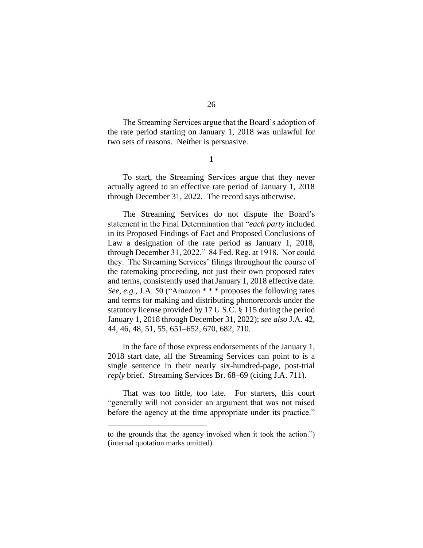The Streaming Services argue that the Board's adoption of the rate period starting on January 1, 2018 was unlawful for two sets of reasons. Neither is persuasive.

**1**

To start, the Streaming Services argue that they never actually agreed to an effective rate period of January 1, 2018 through December 31, 2022. The record says otherwise.

The Streaming Services do not dispute the Board's statement in the Final Determination that "*each party* included in its Proposed Findings of Fact and Proposed Conclusions of Law a designation of the rate period as January 1, 2018, through December 31, 2022." 84 Fed. Reg. at 1918. Nor could they. The Streaming Services' filings throughout the course of the ratemaking proceeding, not just their own proposed rates and terms, consistently used that January 1, 2018 effective date. *See, e.g.*, J.A. 50 ("Amazon \* \* \* proposes the following rates and terms for making and distributing phonorecords under the statutory license provided by 17 U.S.C. § 115 during the period January 1, 2018 through December 31, 2022); *see also* J.A. 42, 44, 46, 48, 51, 55, 651–652, 670, 682, 710.

In the face of those express endorsements of the January 1, 2018 start date, all the Streaming Services can point to is a single sentence in their nearly six-hundred-page, post-trial *reply* brief. Streaming Services Br. 68–69 (citing J.A. 711).

That was too little, too late. For starters, this court "generally will not consider an argument that was not raised before the agency at the time appropriate under its practice."

to the grounds that the agency invoked when it took the action.") (internal quotation marks omitted).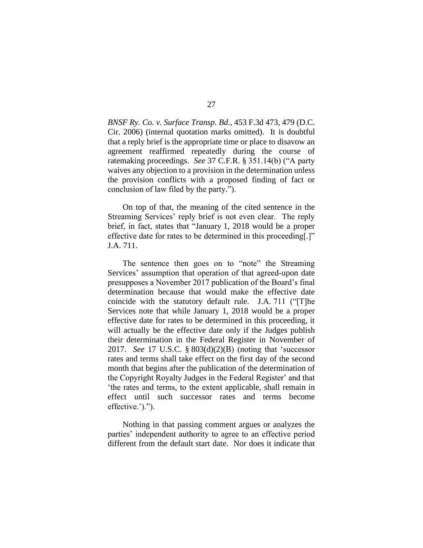*BNSF Ry. Co. v. Surface Transp. Bd.*, 453 F.3d 473, 479 (D.C. Cir. 2006) (internal quotation marks omitted). It is doubtful that a reply brief is the appropriate time or place to disavow an agreement reaffirmed repeatedly during the course of ratemaking proceedings. *See* 37 C.F.R. § 351.14(b) ("A party waives any objection to a provision in the determination unless the provision conflicts with a proposed finding of fact or conclusion of law filed by the party.").

On top of that, the meaning of the cited sentence in the Streaming Services' reply brief is not even clear. The reply brief, in fact, states that "January 1, 2018 would be a proper effective date for rates to be determined in this proceeding[.]" J.A. 711.

The sentence then goes on to "note" the Streaming Services' assumption that operation of that agreed-upon date presupposes a November 2017 publication of the Board's final determination because that would make the effective date coincide with the statutory default rule. J.A. 711 ("[T]he Services note that while January 1, 2018 would be a proper effective date for rates to be determined in this proceeding, it will actually be the effective date only if the Judges publish their determination in the Federal Register in November of 2017. *See* 17 U.S.C. § 803(d)(2)(B) (noting that 'successor rates and terms shall take effect on the first day of the second month that begins after the publication of the determination of the Copyright Royalty Judges in the Federal Register' and that 'the rates and terms, to the extent applicable, shall remain in effect until such successor rates and terms become effective.').").

Nothing in that passing comment argues or analyzes the parties' independent authority to agree to an effective period different from the default start date. Nor does it indicate that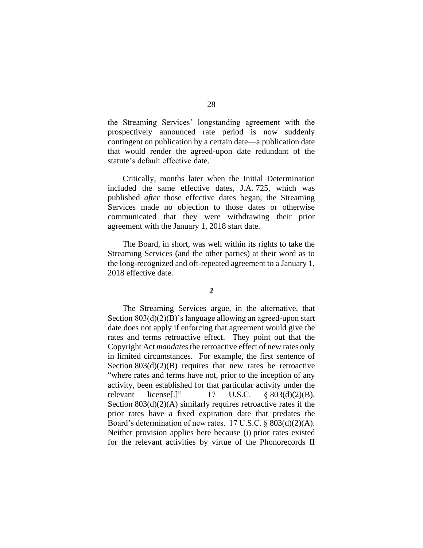the Streaming Services' longstanding agreement with the prospectively announced rate period is now suddenly contingent on publication by a certain date—a publication date that would render the agreed-upon date redundant of the statute's default effective date.

Critically, months later when the Initial Determination included the same effective dates, J.A. 725, which was published *after* those effective dates began, the Streaming Services made no objection to those dates or otherwise communicated that they were withdrawing their prior agreement with the January 1, 2018 start date.

The Board, in short, was well within its rights to take the Streaming Services (and the other parties) at their word as to the long-recognized and oft-repeated agreement to a January 1, 2018 effective date.

#### **2**

The Streaming Services argue, in the alternative, that Section 803(d)(2)(B)'s language allowing an agreed-upon start date does not apply if enforcing that agreement would give the rates and terms retroactive effect. They point out that the Copyright Act *mandates*the retroactive effect of new rates only in limited circumstances. For example, the first sentence of Section  $803(d)(2)(B)$  requires that new rates be retroactive "where rates and terms have not, prior to the inception of any activity, been established for that particular activity under the relevant license[.]" 17 U.S.C. § 803(d)(2)(B). Section  $803(d)(2)(A)$  similarly requires retroactive rates if the prior rates have a fixed expiration date that predates the Board's determination of new rates. 17 U.S.C. § 803(d)(2)(A). Neither provision applies here because (i) prior rates existed for the relevant activities by virtue of the Phonorecords II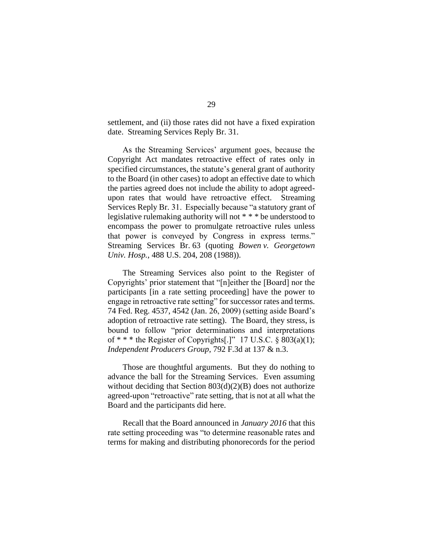settlement, and (ii) those rates did not have a fixed expiration date. Streaming Services Reply Br. 31.

As the Streaming Services' argument goes, because the Copyright Act mandates retroactive effect of rates only in specified circumstances, the statute's general grant of authority to the Board (in other cases) to adopt an effective date to which the parties agreed does not include the ability to adopt agreedupon rates that would have retroactive effect. Streaming Services Reply Br. 31. Especially because "a statutory grant of legislative rulemaking authority will not \* \* \* be understood to encompass the power to promulgate retroactive rules unless that power is conveyed by Congress in express terms." Streaming Services Br. 63 (quoting *Bowen v. Georgetown Univ. Hosp.*, 488 U.S. 204, 208 (1988)).

The Streaming Services also point to the Register of Copyrights' prior statement that "[n]either the [Board] nor the participants [in a rate setting proceeding] have the power to engage in retroactive rate setting" for successor rates and terms. 74 Fed. Reg. 4537, 4542 (Jan. 26, 2009) (setting aside Board's adoption of retroactive rate setting). The Board, they stress, is bound to follow "prior determinations and interpretations of  $***$  the Register of Copyrights[.]" 17 U.S.C. § 803(a)(1); *Independent Producers Group*, 792 F.3d at 137 & n.3.

Those are thoughtful arguments. But they do nothing to advance the ball for the Streaming Services. Even assuming without deciding that Section 803(d)(2)(B) does not authorize agreed-upon "retroactive" rate setting, that is not at all what the Board and the participants did here.

Recall that the Board announced in *January 2016* that this rate setting proceeding was "to determine reasonable rates and terms for making and distributing phonorecords for the period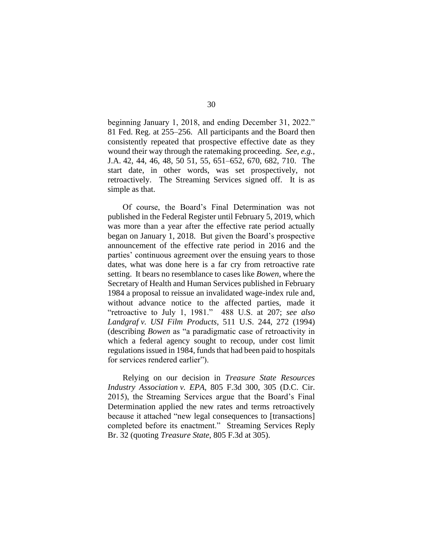beginning January 1, 2018, and ending December 31, 2022." 81 Fed. Reg. at 255–256. All participants and the Board then consistently repeated that prospective effective date as they wound their way through the ratemaking proceeding. *See, e.g.*, J.A. 42, 44, 46, 48, 50 51, 55, 651–652, 670, 682, 710. The start date, in other words, was set prospectively, not retroactively. The Streaming Services signed off. It is as simple as that.

Of course, the Board's Final Determination was not published in the Federal Register until February 5, 2019, which was more than a year after the effective rate period actually began on January 1, 2018. But given the Board's prospective announcement of the effective rate period in 2016 and the parties' continuous agreement over the ensuing years to those dates, what was done here is a far cry from retroactive rate setting. It bears no resemblance to cases like *Bowen*, where the Secretary of Health and Human Services published in February 1984 a proposal to reissue an invalidated wage-index rule and, without advance notice to the affected parties, made it "retroactive to July 1, 1981." 488 U.S. at 207; *see also Landgraf v. USI Film Products*, 511 U.S. 244, 272 (1994) (describing *Bowen* as "a paradigmatic case of retroactivity in which a federal agency sought to recoup, under cost limit regulations issued in 1984, funds that had been paid to hospitals for services rendered earlier").

Relying on our decision in *Treasure State Resources Industry Association v. EPA*, 805 F.3d 300, 305 (D.C. Cir. 2015), the Streaming Services argue that the Board's Final Determination applied the new rates and terms retroactively because it attached "new legal consequences to [transactions] completed before its enactment." Streaming Services Reply Br. 32 (quoting *Treasure State*, 805 F.3d at 305).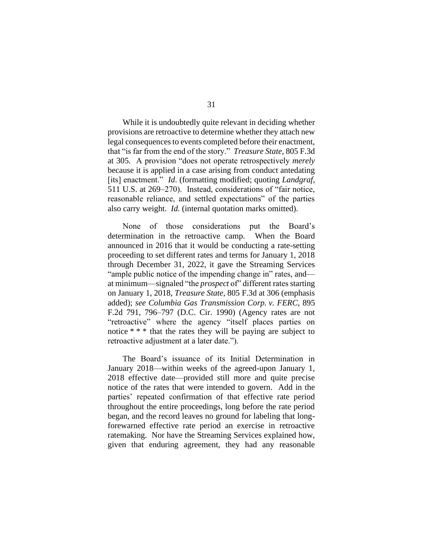While it is undoubtedly quite relevant in deciding whether provisions are retroactive to determine whether they attach new legal consequences to events completed before their enactment, that "is far from the end of the story." *Treasure State*, 805 F.3d at 305*.* A provision "does not operate retrospectively *merely*  because it is applied in a case arising from conduct antedating [its] enactment." *Id*. (formatting modified; quoting *Landgraf*, 511 U.S. at 269–270). Instead, considerations of "fair notice, reasonable reliance, and settled expectations" of the parties also carry weight. *Id.* (internal quotation marks omitted).

None of those considerations put the Board's determination in the retroactive camp. When the Board announced in 2016 that it would be conducting a rate-setting proceeding to set different rates and terms for January 1, 2018 through December 31, 2022, it gave the Streaming Services "ample public notice of the impending change in" rates, and at minimum—signaled "the *prospect* of" different rates starting on January 1, 2018, *Treasure State*, 805 F.3d at 306 (emphasis added); *see Columbia Gas Transmission Corp. v. FERC*, 895 F.2d 791, 796–797 (D.C. Cir. 1990) (Agency rates are not "retroactive" where the agency "itself places parties on notice \* \* \* that the rates they will be paying are subject to retroactive adjustment at a later date.").

The Board's issuance of its Initial Determination in January 2018—within weeks of the agreed-upon January 1, 2018 effective date—provided still more and quite precise notice of the rates that were intended to govern. Add in the parties' repeated confirmation of that effective rate period throughout the entire proceedings, long before the rate period began, and the record leaves no ground for labeling that longforewarned effective rate period an exercise in retroactive ratemaking. Nor have the Streaming Services explained how, given that enduring agreement, they had any reasonable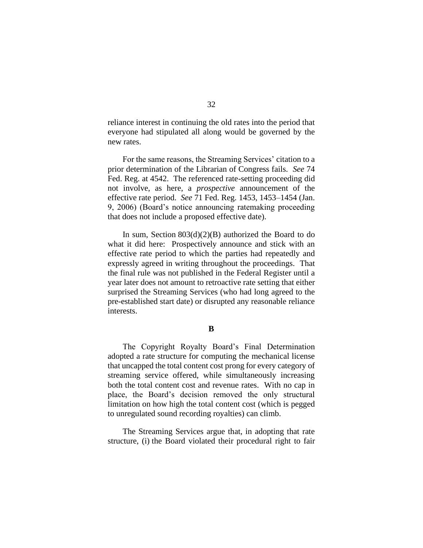reliance interest in continuing the old rates into the period that everyone had stipulated all along would be governed by the new rates.

For the same reasons, the Streaming Services' citation to a prior determination of the Librarian of Congress fails. *See* 74 Fed. Reg. at 4542. The referenced rate-setting proceeding did not involve, as here, a *prospective* announcement of the effective rate period. *See* 71 Fed. Reg. 1453, 1453–1454 (Jan. 9, 2006) (Board's notice announcing ratemaking proceeding that does not include a proposed effective date).

In sum, Section  $803(d)(2)(B)$  authorized the Board to do what it did here: Prospectively announce and stick with an effective rate period to which the parties had repeatedly and expressly agreed in writing throughout the proceedings. That the final rule was not published in the Federal Register until a year later does not amount to retroactive rate setting that either surprised the Streaming Services (who had long agreed to the pre-established start date) or disrupted any reasonable reliance interests.

#### **B**

The Copyright Royalty Board's Final Determination adopted a rate structure for computing the mechanical license that uncapped the total content cost prong for every category of streaming service offered, while simultaneously increasing both the total content cost and revenue rates. With no cap in place, the Board's decision removed the only structural limitation on how high the total content cost (which is pegged to unregulated sound recording royalties) can climb.

The Streaming Services argue that, in adopting that rate structure, (i) the Board violated their procedural right to fair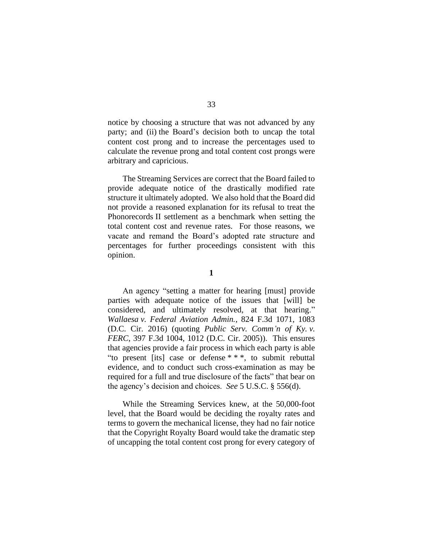notice by choosing a structure that was not advanced by any party; and (ii) the Board's decision both to uncap the total content cost prong and to increase the percentages used to calculate the revenue prong and total content cost prongs were arbitrary and capricious.

The Streaming Services are correct that the Board failed to provide adequate notice of the drastically modified rate structure it ultimately adopted. We also hold that the Board did not provide a reasoned explanation for its refusal to treat the Phonorecords II settlement as a benchmark when setting the total content cost and revenue rates. For those reasons, we vacate and remand the Board's adopted rate structure and percentages for further proceedings consistent with this opinion.

An agency "setting a matter for hearing [must] provide parties with adequate notice of the issues that [will] be considered, and ultimately resolved, at that hearing." *Wallaesa v. Federal Aviation Admin.*, 824 F.3d 1071, 1083 (D.C. Cir. 2016) (quoting *Public Serv. Comm'n of Ky. v. FERC*, 397 F.3d 1004, 1012 (D.C. Cir. 2005)). This ensures that agencies provide a fair process in which each party is able "to present [its] case or defense \* \* \*, to submit rebuttal evidence, and to conduct such cross-examination as may be required for a full and true disclosure of the facts" that bear on the agency's decision and choices. *See* 5 U.S.C. § 556(d).

While the Streaming Services knew, at the 50,000-foot level, that the Board would be deciding the royalty rates and terms to govern the mechanical license, they had no fair notice that the Copyright Royalty Board would take the dramatic step of uncapping the total content cost prong for every category of

**<sup>1</sup>**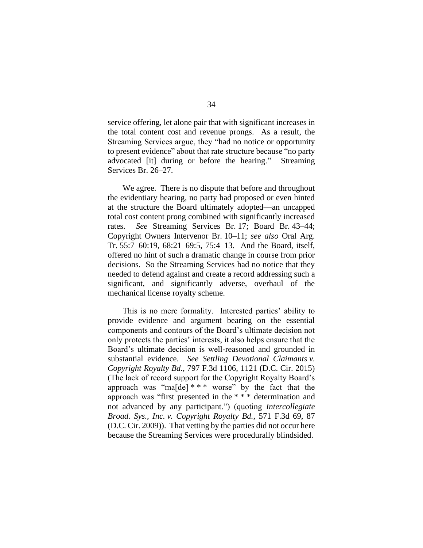service offering, let alone pair that with significant increases in the total content cost and revenue prongs. As a result, the Streaming Services argue, they "had no notice or opportunity to present evidence" about that rate structure because "no party advocated [it] during or before the hearing." Streaming Services Br. 26–27.

We agree. There is no dispute that before and throughout the evidentiary hearing, no party had proposed or even hinted at the structure the Board ultimately adopted—an uncapped total cost content prong combined with significantly increased rates. *See* Streaming Services Br. 17; Board Br. 43–44; Copyright Owners Intervenor Br. 10–11; *see also* Oral Arg. Tr. 55:7–60:19, 68:21–69:5, 75:4–13. And the Board, itself, offered no hint of such a dramatic change in course from prior decisions. So the Streaming Services had no notice that they needed to defend against and create a record addressing such a significant, and significantly adverse, overhaul of the mechanical license royalty scheme.

This is no mere formality. Interested parties' ability to provide evidence and argument bearing on the essential components and contours of the Board's ultimate decision not only protects the parties' interests, it also helps ensure that the Board's ultimate decision is well-reasoned and grounded in substantial evidence. *See Settling Devotional Claimants v. Copyright Royalty Bd.*, 797 F.3d 1106, 1121 (D.C. Cir. 2015) (The lack of record support for the Copyright Royalty Board's approach was "ma[de]  $***$  worse" by the fact that the approach was "first presented in the \* \* \* determination and not advanced by any participant.") (quoting *Intercollegiate Broad. Sys., Inc. v. Copyright Royalty Bd.*, 571 F.3d 69, 87 (D.C. Cir. 2009)). That vetting by the parties did not occur here because the Streaming Services were procedurally blindsided.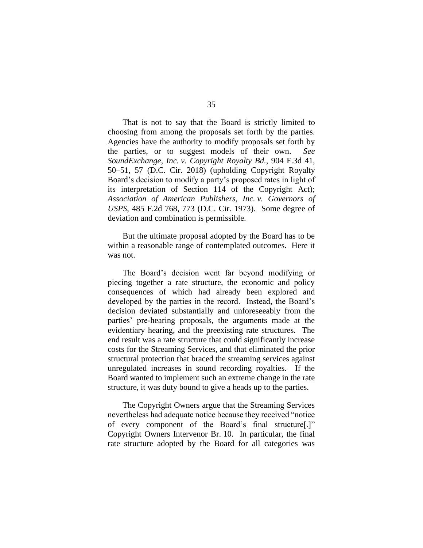That is not to say that the Board is strictly limited to choosing from among the proposals set forth by the parties. Agencies have the authority to modify proposals set forth by the parties, or to suggest models of their own. *See SoundExchange, Inc. v. Copyright Royalty Bd.*, 904 F.3d 41, 50–51, 57 (D.C. Cir. 2018) (upholding Copyright Royalty Board's decision to modify a party's proposed rates in light of its interpretation of Section 114 of the Copyright Act); *Association of American Publishers, Inc. v. Governors of USPS*, 485 F.2d 768, 773 (D.C. Cir. 1973). Some degree of deviation and combination is permissible.

But the ultimate proposal adopted by the Board has to be within a reasonable range of contemplated outcomes. Here it was not.

The Board's decision went far beyond modifying or piecing together a rate structure, the economic and policy consequences of which had already been explored and developed by the parties in the record. Instead, the Board's decision deviated substantially and unforeseeably from the parties' pre-hearing proposals, the arguments made at the evidentiary hearing, and the preexisting rate structures. The end result was a rate structure that could significantly increase costs for the Streaming Services, and that eliminated the prior structural protection that braced the streaming services against unregulated increases in sound recording royalties. If the Board wanted to implement such an extreme change in the rate structure, it was duty bound to give a heads up to the parties.

The Copyright Owners argue that the Streaming Services nevertheless had adequate notice because they received "notice of every component of the Board's final structure[.]" Copyright Owners Intervenor Br. 10. In particular, the final rate structure adopted by the Board for all categories was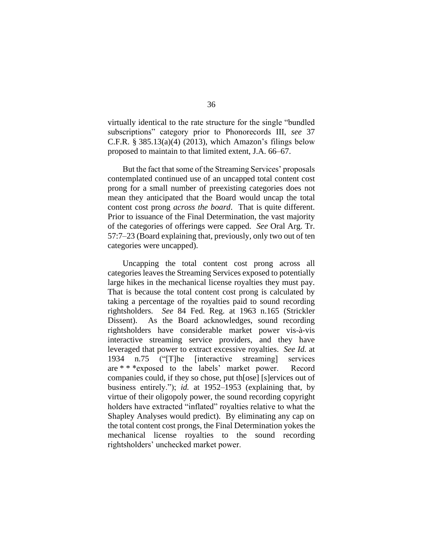virtually identical to the rate structure for the single "bundled subscriptions" category prior to Phonorecords III, *see* 37 C.F.R.  $\S 385.13(a)(4)$  (2013), which Amazon's filings below proposed to maintain to that limited extent, J.A. 66–67.

But the fact that some of the Streaming Services' proposals contemplated continued use of an uncapped total content cost prong for a small number of preexisting categories does not mean they anticipated that the Board would uncap the total content cost prong *across the board*. That is quite different. Prior to issuance of the Final Determination, the vast majority of the categories of offerings were capped. *See* Oral Arg. Tr. 57:7–23 (Board explaining that, previously, only two out of ten categories were uncapped).

Uncapping the total content cost prong across all categories leaves the Streaming Services exposed to potentially large hikes in the mechanical license royalties they must pay. That is because the total content cost prong is calculated by taking a percentage of the royalties paid to sound recording rightsholders. *See* 84 Fed. Reg. at 1963 n.165 (Strickler Dissent). As the Board acknowledges, sound recording rightsholders have considerable market power vis-à-vis interactive streaming service providers, and they have leveraged that power to extract excessive royalties. *See Id.* at 1934 n.75 ("[T]he [interactive streaming] services are \* \* \*exposed to the labels' market power. Record companies could, if they so chose, put th[ose] [s]ervices out of business entirely."); *id.* at 1952–1953 (explaining that, by virtue of their oligopoly power, the sound recording copyright holders have extracted "inflated" royalties relative to what the Shapley Analyses would predict). By eliminating any cap on the total content cost prongs, the Final Determination yokes the mechanical license royalties to the sound recording rightsholders' unchecked market power.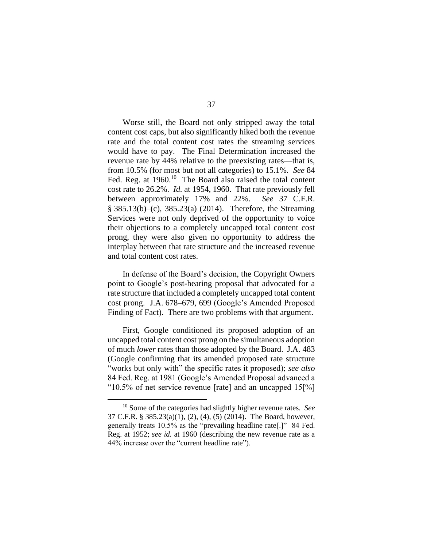Worse still, the Board not only stripped away the total content cost caps, but also significantly hiked both the revenue rate and the total content cost rates the streaming services would have to pay. The Final Determination increased the revenue rate by 44% relative to the preexisting rates—that is, from 10.5% (for most but not all categories) to 15.1%. *See* 84 Fed. Reg. at 1960.<sup>10</sup> The Board also raised the total content cost rate to 26.2%. *Id.* at 1954, 1960. That rate previously fell between approximately 17% and 22%. *See* 37 C.F.R. § 385.13(b)–(c), 385.23(a) (2014). Therefore, the Streaming Services were not only deprived of the opportunity to voice their objections to a completely uncapped total content cost prong, they were also given no opportunity to address the interplay between that rate structure and the increased revenue and total content cost rates.

In defense of the Board's decision, the Copyright Owners point to Google's post-hearing proposal that advocated for a rate structure that included a completely uncapped total content cost prong. J.A. 678–679, 699 (Google's Amended Proposed Finding of Fact). There are two problems with that argument.

First, Google conditioned its proposed adoption of an uncapped total content cost prong on the simultaneous adoption of much *lower* rates than those adopted by the Board. J.A. 483 (Google confirming that its amended proposed rate structure "works but only with" the specific rates it proposed); *see also*  84 Fed. Reg. at 1981 (Google's Amended Proposal advanced a "10.5% of net service revenue [rate] and an uncapped  $15\frac{1}{6}$ ]

<sup>10</sup> Some of the categories had slightly higher revenue rates. *See* 37 C.F.R. § 385.23(a)(1), (2), (4), (5) (2014). The Board, however, generally treats 10.5% as the "prevailing headline rate[.]" 84 Fed. Reg. at 1952; *see id.* at 1960 (describing the new revenue rate as a 44% increase over the "current headline rate").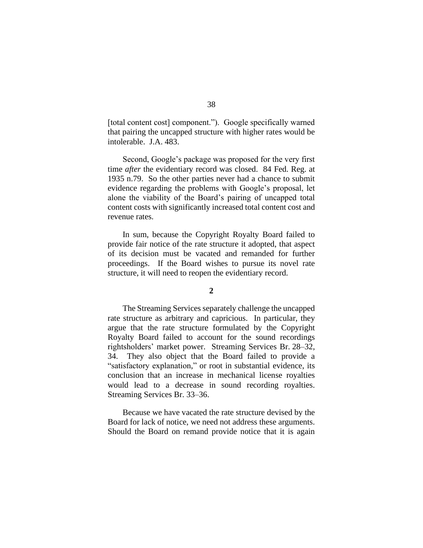[total content cost] component."). Google specifically warned that pairing the uncapped structure with higher rates would be intolerable. J.A. 483.

Second, Google's package was proposed for the very first time *after* the evidentiary record was closed. 84 Fed. Reg. at 1935 n.79. So the other parties never had a chance to submit evidence regarding the problems with Google's proposal, let alone the viability of the Board's pairing of uncapped total content costs with significantly increased total content cost and revenue rates.

In sum, because the Copyright Royalty Board failed to provide fair notice of the rate structure it adopted, that aspect of its decision must be vacated and remanded for further proceedings. If the Board wishes to pursue its novel rate structure, it will need to reopen the evidentiary record.

# **2**

The Streaming Services separately challenge the uncapped rate structure as arbitrary and capricious. In particular, they argue that the rate structure formulated by the Copyright Royalty Board failed to account for the sound recordings rightsholders' market power. Streaming Services Br. 28–32, 34. They also object that the Board failed to provide a "satisfactory explanation," or root in substantial evidence, its conclusion that an increase in mechanical license royalties would lead to a decrease in sound recording royalties. Streaming Services Br. 33–36.

Because we have vacated the rate structure devised by the Board for lack of notice, we need not address these arguments. Should the Board on remand provide notice that it is again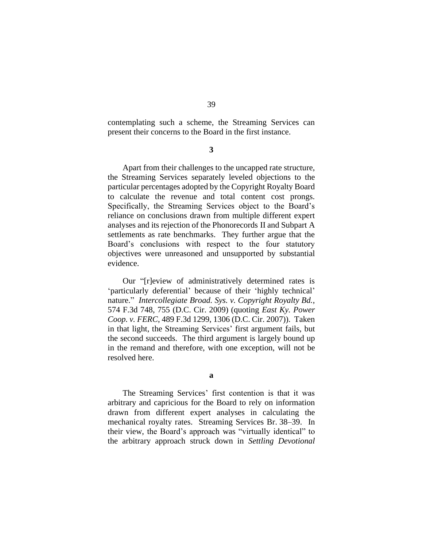contemplating such a scheme, the Streaming Services can present their concerns to the Board in the first instance.

**3**

Apart from their challenges to the uncapped rate structure, the Streaming Services separately leveled objections to the particular percentages adopted by the Copyright Royalty Board to calculate the revenue and total content cost prongs. Specifically, the Streaming Services object to the Board's reliance on conclusions drawn from multiple different expert analyses and its rejection of the Phonorecords II and Subpart A settlements as rate benchmarks. They further argue that the Board's conclusions with respect to the four statutory objectives were unreasoned and unsupported by substantial evidence.

Our "[r]eview of administratively determined rates is 'particularly deferential' because of their 'highly technical' nature." *Intercollegiate Broad. Sys. v. Copyright Royalty Bd.*, 574 F.3d 748, 755 (D.C. Cir. 2009) (quoting *East Ky. Power Coop. v. FERC*, 489 F.3d 1299, 1306 (D.C. Cir. 2007)). Taken in that light, the Streaming Services' first argument fails, but the second succeeds. The third argument is largely bound up in the remand and therefore, with one exception, will not be resolved here.

**a**

The Streaming Services' first contention is that it was arbitrary and capricious for the Board to rely on information drawn from different expert analyses in calculating the mechanical royalty rates. Streaming Services Br. 38–39. In their view, the Board's approach was "virtually identical" to the arbitrary approach struck down in *Settling Devotional*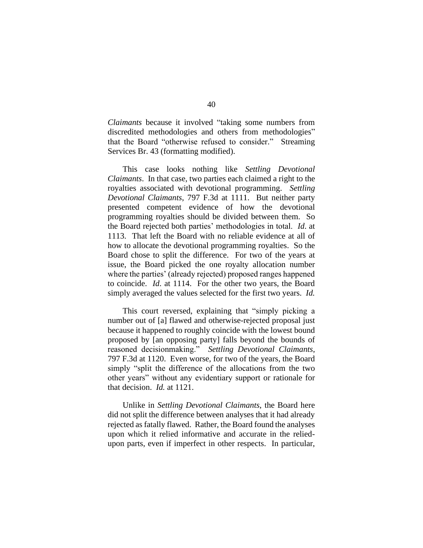*Claimants* because it involved "taking some numbers from discredited methodologies and others from methodologies" that the Board "otherwise refused to consider." Streaming Services Br. 43 (formatting modified).

This case looks nothing like *Settling Devotional Claimants*. In that case, two parties each claimed a right to the royalties associated with devotional programming. *Settling Devotional Claimants*, 797 F.3d at 1111. But neither party presented competent evidence of how the devotional programming royalties should be divided between them. So the Board rejected both parties' methodologies in total. *Id*. at 1113. That left the Board with no reliable evidence at all of how to allocate the devotional programming royalties. So the Board chose to split the difference. For two of the years at issue, the Board picked the one royalty allocation number where the parties' (already rejected) proposed ranges happened to coincide. *Id*. at 1114. For the other two years, the Board simply averaged the values selected for the first two years. *Id.*

This court reversed, explaining that "simply picking a number out of [a] flawed and otherwise-rejected proposal just because it happened to roughly coincide with the lowest bound proposed by [an opposing party] falls beyond the bounds of reasoned decisionmaking." *Settling Devotional Claimants*, 797 F.3d at 1120. Even worse, for two of the years, the Board simply "split the difference of the allocations from the two other years" without any evidentiary support or rationale for that decision. *Id.* at 1121.

Unlike in *Settling Devotional Claimants*, the Board here did not split the difference between analyses that it had already rejected as fatally flawed. Rather, the Board found the analyses upon which it relied informative and accurate in the reliedupon parts, even if imperfect in other respects. In particular,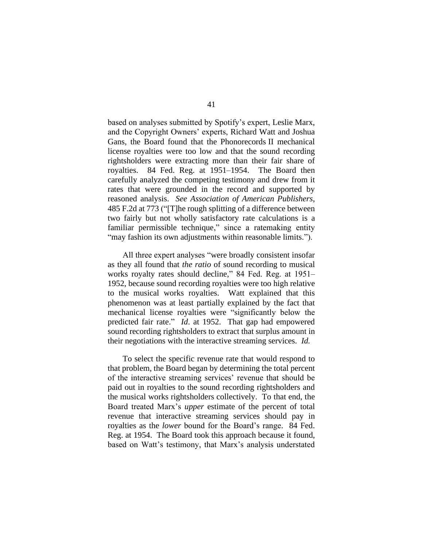based on analyses submitted by Spotify's expert, Leslie Marx, and the Copyright Owners' experts, Richard Watt and Joshua Gans, the Board found that the Phonorecords II mechanical license royalties were too low and that the sound recording rightsholders were extracting more than their fair share of royalties. 84 Fed. Reg. at 1951–1954. The Board then carefully analyzed the competing testimony and drew from it rates that were grounded in the record and supported by reasoned analysis. *See Association of American Publishers*, 485 F.2d at 773 ("[T]he rough splitting of a difference between two fairly but not wholly satisfactory rate calculations is a familiar permissible technique," since a ratemaking entity "may fashion its own adjustments within reasonable limits.").

All three expert analyses "were broadly consistent insofar as they all found that *the ratio* of sound recording to musical works royalty rates should decline," 84 Fed. Reg. at 1951– 1952, because sound recording royalties were too high relative to the musical works royalties. Watt explained that this phenomenon was at least partially explained by the fact that mechanical license royalties were "significantly below the predicted fair rate." *Id*. at 1952. That gap had empowered sound recording rightsholders to extract that surplus amount in their negotiations with the interactive streaming services. *Id.*

To select the specific revenue rate that would respond to that problem, the Board began by determining the total percent of the interactive streaming services' revenue that should be paid out in royalties to the sound recording rightsholders and the musical works rightsholders collectively. To that end, the Board treated Marx's *upper* estimate of the percent of total revenue that interactive streaming services should pay in royalties as the *lower* bound for the Board's range. 84 Fed. Reg. at 1954. The Board took this approach because it found, based on Watt's testimony, that Marx's analysis understated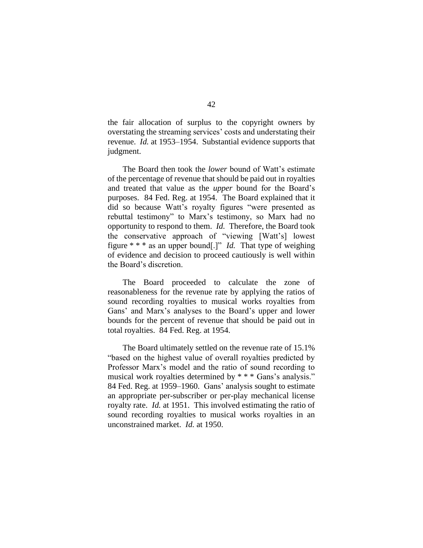the fair allocation of surplus to the copyright owners by overstating the streaming services' costs and understating their revenue. *Id.* at 1953–1954. Substantial evidence supports that judgment.

The Board then took the *lower* bound of Watt's estimate of the percentage of revenue that should be paid out in royalties and treated that value as the *upper* bound for the Board's purposes. 84 Fed. Reg. at 1954. The Board explained that it did so because Watt's royalty figures "were presented as rebuttal testimony" to Marx's testimony, so Marx had no opportunity to respond to them. *Id.* Therefore, the Board took the conservative approach of "viewing [Watt's] lowest figure \* \* \* as an upper bound[.]" *Id.* That type of weighing of evidence and decision to proceed cautiously is well within the Board's discretion.

The Board proceeded to calculate the zone of reasonableness for the revenue rate by applying the ratios of sound recording royalties to musical works royalties from Gans' and Marx's analyses to the Board's upper and lower bounds for the percent of revenue that should be paid out in total royalties. 84 Fed. Reg. at 1954.

The Board ultimately settled on the revenue rate of 15.1% "based on the highest value of overall royalties predicted by Professor Marx's model and the ratio of sound recording to musical work royalties determined by \* \* \* Gans's analysis." 84 Fed. Reg. at 1959–1960. Gans' analysis sought to estimate an appropriate per-subscriber or per-play mechanical license royalty rate. *Id.* at 1951. This involved estimating the ratio of sound recording royalties to musical works royalties in an unconstrained market. *Id.* at 1950.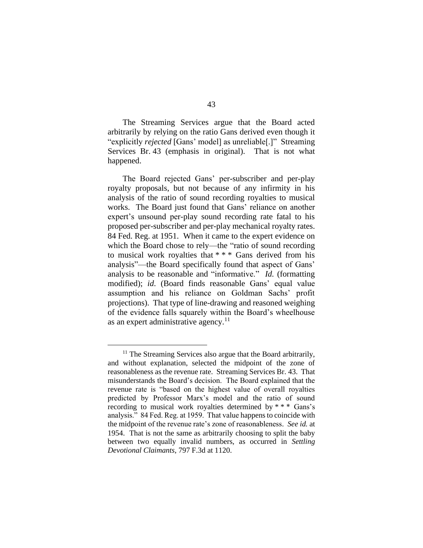The Streaming Services argue that the Board acted arbitrarily by relying on the ratio Gans derived even though it "explicitly *rejected* [Gans' model] as unreliable[.]" Streaming Services Br. 43 (emphasis in original). That is not what happened.

The Board rejected Gans' per-subscriber and per-play royalty proposals, but not because of any infirmity in his analysis of the ratio of sound recording royalties to musical works. The Board just found that Gans' reliance on another expert's unsound per-play sound recording rate fatal to his proposed per-subscriber and per-play mechanical royalty rates. 84 Fed. Reg. at 1951. When it came to the expert evidence on which the Board chose to rely—the "ratio of sound recording to musical work royalties that \* \* \* Gans derived from his analysis"—the Board specifically found that aspect of Gans' analysis to be reasonable and "informative." *Id.* (formatting modified); *id*. (Board finds reasonable Gans' equal value assumption and his reliance on Goldman Sachs' profit projections). That type of line-drawing and reasoned weighing of the evidence falls squarely within the Board's wheelhouse as an expert administrative agency. $11$ 

<sup>&</sup>lt;sup>11</sup> The Streaming Services also argue that the Board arbitrarily, and without explanation, selected the midpoint of the zone of reasonableness as the revenue rate. Streaming Services Br. 43. That misunderstands the Board's decision. The Board explained that the revenue rate is "based on the highest value of overall royalties predicted by Professor Marx's model and the ratio of sound recording to musical work royalties determined by \* \* \* Gans's analysis." 84 Fed. Reg. at 1959. That value happens to coincide with the midpoint of the revenue rate's zone of reasonableness. *See id.* at 1954. That is not the same as arbitrarily choosing to split the baby between two equally invalid numbers, as occurred in *Settling Devotional Claimants*, 797 F.3d at 1120.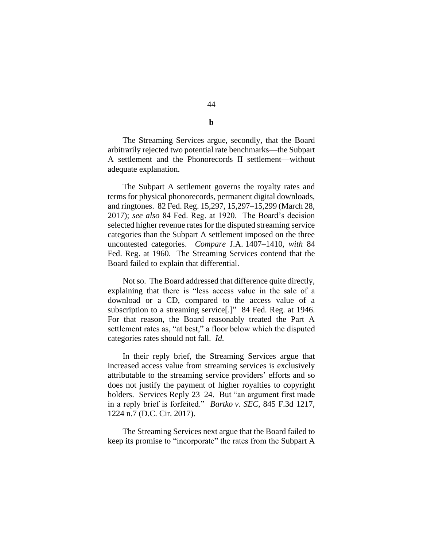The Streaming Services argue, secondly, that the Board arbitrarily rejected two potential rate benchmarks—the Subpart A settlement and the Phonorecords II settlement—without adequate explanation.

The Subpart A settlement governs the royalty rates and terms for physical phonorecords, permanent digital downloads, and ringtones. 82 Fed. Reg. 15,297, 15,297–15,299 (March 28, 2017); *see also* 84 Fed. Reg. at 1920. The Board's decision selected higher revenue rates for the disputed streaming service categories than the Subpart A settlement imposed on the three uncontested categories. *Compare* J.A. 1407–1410, *with* 84 Fed. Reg. at 1960. The Streaming Services contend that the Board failed to explain that differential.

Not so. The Board addressed that difference quite directly, explaining that there is "less access value in the sale of a download or a CD, compared to the access value of a subscription to a streaming service<sup>[1]</sup>" 84 Fed. Reg. at 1946. For that reason, the Board reasonably treated the Part A settlement rates as, "at best," a floor below which the disputed categories rates should not fall. *Id.*

In their reply brief, the Streaming Services argue that increased access value from streaming services is exclusively attributable to the streaming service providers' efforts and so does not justify the payment of higher royalties to copyright holders. Services Reply 23-24. But "an argument first made in a reply brief is forfeited." *Bartko v. SEC*, 845 F.3d 1217, 1224 n.7 (D.C. Cir. 2017).

The Streaming Services next argue that the Board failed to keep its promise to "incorporate" the rates from the Subpart A

44

**b**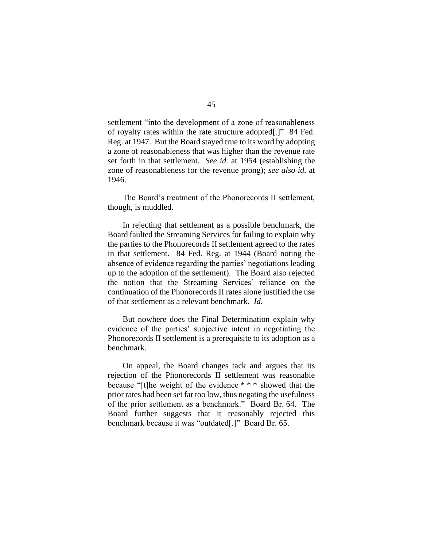settlement "into the development of a zone of reasonableness of royalty rates within the rate structure adopted[.]" 84 Fed. Reg. at 1947. But the Board stayed true to its word by adopting a zone of reasonableness that was higher than the revenue rate set forth in that settlement. *See id.* at 1954 (establishing the zone of reasonableness for the revenue prong); *see also id.* at 1946.

The Board's treatment of the Phonorecords II settlement, though, is muddled.

In rejecting that settlement as a possible benchmark, the Board faulted the Streaming Services for failing to explain why the parties to the Phonorecords II settlement agreed to the rates in that settlement. 84 Fed. Reg. at 1944 (Board noting the absence of evidence regarding the parties' negotiations leading up to the adoption of the settlement). The Board also rejected the notion that the Streaming Services' reliance on the continuation of the Phonorecords II rates alone justified the use of that settlement as a relevant benchmark. *Id.*

But nowhere does the Final Determination explain why evidence of the parties' subjective intent in negotiating the Phonorecords II settlement is a prerequisite to its adoption as a benchmark.

On appeal, the Board changes tack and argues that its rejection of the Phonorecords II settlement was reasonable because "[t]he weight of the evidence \* \* \* showed that the prior rates had been set far too low, thus negating the usefulness of the prior settlement as a benchmark." Board Br. 64. The Board further suggests that it reasonably rejected this benchmark because it was "outdated[.]" Board Br. 65.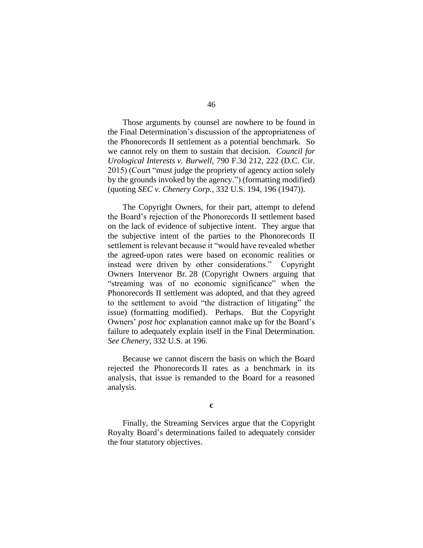Those arguments by counsel are nowhere to be found in the Final Determination's discussion of the appropriateness of the Phonorecords II settlement as a potential benchmark. So we cannot rely on them to sustain that decision. *Council for Urological Interests v. Burwell*, 790 F.3d 212, 222 (D.C. Cir. 2015) (Court "must judge the propriety of agency action solely by the grounds invoked by the agency.") (formatting modified) (quoting *SEC v. Chenery Corp.*, 332 U.S. 194, 196 (1947)).

The Copyright Owners, for their part, attempt to defend the Board's rejection of the Phonorecords II settlement based on the lack of evidence of subjective intent. They argue that the subjective intent of the parties to the Phonorecords II settlement is relevant because it "would have revealed whether the agreed-upon rates were based on economic realities or instead were driven by other considerations." Copyright Owners Intervenor Br. 28 (Copyright Owners arguing that "streaming was of no economic significance" when the Phonorecords II settlement was adopted, and that they agreed to the settlement to avoid "the distraction of litigating" the issue) (formatting modified). Perhaps. But the Copyright Owners' *post hoc* explanation cannot make up for the Board's failure to adequately explain itself in the Final Determination. *See Chenery*, 332 U.S. at 196.

Because we cannot discern the basis on which the Board rejected the Phonorecords II rates as a benchmark in its analysis, that issue is remanded to the Board for a reasoned analysis.

**c**

Finally, the Streaming Services argue that the Copyright Royalty Board's determinations failed to adequately consider the four statutory objectives.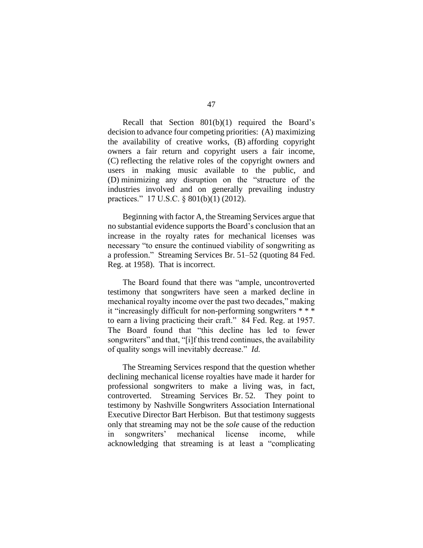Recall that Section 801(b)(1) required the Board's decision to advance four competing priorities: (A) maximizing the availability of creative works, (B) affording copyright owners a fair return and copyright users a fair income, (C) reflecting the relative roles of the copyright owners and users in making music available to the public, and (D) minimizing any disruption on the "structure of the industries involved and on generally prevailing industry practices." 17 U.S.C. § 801(b)(1) (2012).

Beginning with factor A, the Streaming Services argue that no substantial evidence supports the Board's conclusion that an increase in the royalty rates for mechanical licenses was necessary "to ensure the continued viability of songwriting as a profession." Streaming Services Br. 51–52 (quoting 84 Fed. Reg. at 1958). That is incorrect.

The Board found that there was "ample, uncontroverted testimony that songwriters have seen a marked decline in mechanical royalty income over the past two decades," making it "increasingly difficult for non-performing songwriters \* \* \* to earn a living practicing their craft." 84 Fed. Reg. at 1957. The Board found that "this decline has led to fewer songwriters" and that, "[i]f this trend continues, the availability of quality songs will inevitably decrease." *Id.*

The Streaming Services respond that the question whether declining mechanical license royalties have made it harder for professional songwriters to make a living was, in fact, controverted. Streaming Services Br. 52. They point to testimony by Nashville Songwriters Association International Executive Director Bart Herbison. But that testimony suggests only that streaming may not be the *sole* cause of the reduction in songwriters' mechanical license income, while acknowledging that streaming is at least a "complicating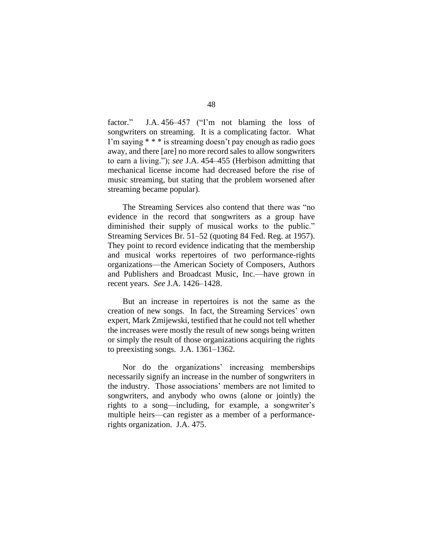factor." J.A. 456–457 ("I'm not blaming the loss of songwriters on streaming. It is a complicating factor. What I'm saying \* \* \* is streaming doesn't pay enough as radio goes away, and there [are] no more record sales to allow songwriters to earn a living."); *see* J.A. 454–455 (Herbison admitting that mechanical license income had decreased before the rise of music streaming, but stating that the problem worsened after streaming became popular).

The Streaming Services also contend that there was "no evidence in the record that songwriters as a group have diminished their supply of musical works to the public." Streaming Services Br. 51–52 (quoting 84 Fed. Reg. at 1957). They point to record evidence indicating that the membership and musical works repertoires of two performance-rights organizations—the American Society of Composers, Authors and Publishers and Broadcast Music, Inc.—have grown in recent years. *See* J.A. 1426–1428.

But an increase in repertoires is not the same as the creation of new songs. In fact, the Streaming Services' own expert, Mark Zmijewski, testified that he could not tell whether the increases were mostly the result of new songs being written or simply the result of those organizations acquiring the rights to preexisting songs. J.A. 1361–1362.

Nor do the organizations' increasing memberships necessarily signify an increase in the number of songwriters in the industry. Those associations' members are not limited to songwriters, and anybody who owns (alone or jointly) the rights to a song—including, for example, a songwriter's multiple heirs—can register as a member of a performancerights organization. J.A. 475.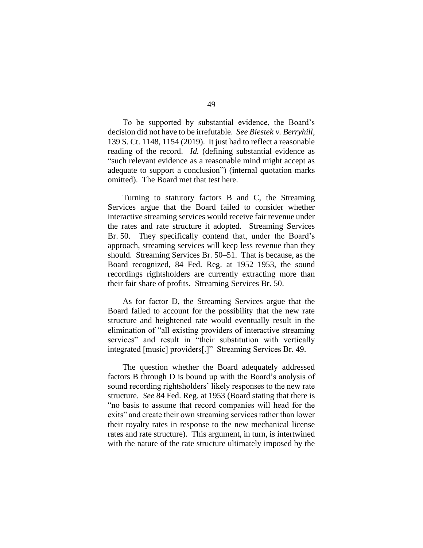To be supported by substantial evidence, the Board's decision did not have to be irrefutable. *See Biestek v. Berryhill*, 139 S. Ct. 1148, 1154 (2019). It just had to reflect a reasonable reading of the record. *Id.* (defining substantial evidence as "such relevant evidence as a reasonable mind might accept as adequate to support a conclusion") (internal quotation marks omitted). The Board met that test here.

Turning to statutory factors B and C, the Streaming Services argue that the Board failed to consider whether interactive streaming services would receive fair revenue under the rates and rate structure it adopted. Streaming Services Br. 50. They specifically contend that, under the Board's approach, streaming services will keep less revenue than they should. Streaming Services Br. 50–51. That is because, as the Board recognized, 84 Fed. Reg. at 1952–1953, the sound recordings rightsholders are currently extracting more than their fair share of profits. Streaming Services Br. 50.

As for factor D, the Streaming Services argue that the Board failed to account for the possibility that the new rate structure and heightened rate would eventually result in the elimination of "all existing providers of interactive streaming services" and result in "their substitution with vertically integrated [music] providers[.]" Streaming Services Br. 49.

The question whether the Board adequately addressed factors B through D is bound up with the Board's analysis of sound recording rightsholders' likely responses to the new rate structure. *See* 84 Fed. Reg. at 1953 (Board stating that there is "no basis to assume that record companies will head for the exits" and create their own streaming services rather than lower their royalty rates in response to the new mechanical license rates and rate structure). This argument, in turn, is intertwined with the nature of the rate structure ultimately imposed by the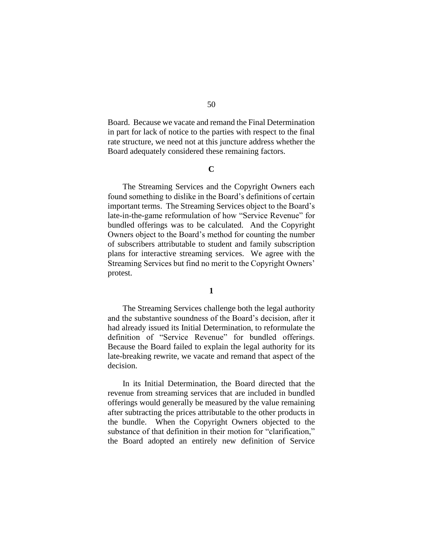Board. Because we vacate and remand the Final Determination in part for lack of notice to the parties with respect to the final rate structure, we need not at this juncture address whether the Board adequately considered these remaining factors.

#### **C**

The Streaming Services and the Copyright Owners each found something to dislike in the Board's definitions of certain important terms. The Streaming Services object to the Board's late-in-the-game reformulation of how "Service Revenue" for bundled offerings was to be calculated. And the Copyright Owners object to the Board's method for counting the number of subscribers attributable to student and family subscription plans for interactive streaming services. We agree with the Streaming Services but find no merit to the Copyright Owners' protest.

# **1**

The Streaming Services challenge both the legal authority and the substantive soundness of the Board's decision, after it had already issued its Initial Determination, to reformulate the definition of "Service Revenue" for bundled offerings. Because the Board failed to explain the legal authority for its late-breaking rewrite, we vacate and remand that aspect of the decision.

In its Initial Determination, the Board directed that the revenue from streaming services that are included in bundled offerings would generally be measured by the value remaining after subtracting the prices attributable to the other products in the bundle. When the Copyright Owners objected to the substance of that definition in their motion for "clarification," the Board adopted an entirely new definition of Service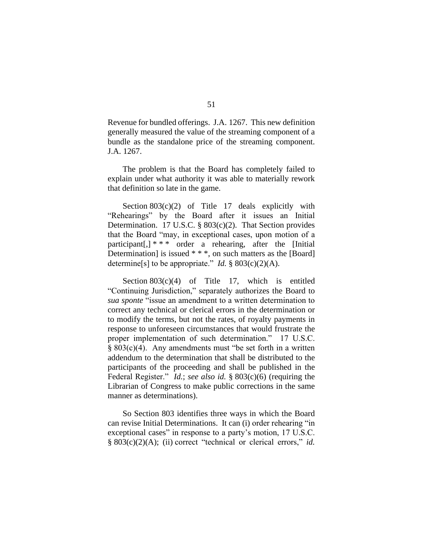Revenue for bundled offerings. J.A. 1267. This new definition generally measured the value of the streaming component of a bundle as the standalone price of the streaming component. J.A. 1267.

The problem is that the Board has completely failed to explain under what authority it was able to materially rework that definition so late in the game.

Section  $803(c)(2)$  of Title 17 deals explicitly with "Rehearings" by the Board after it issues an Initial Determination. 17 U.S.C. § 803(c)(2). That Section provides that the Board "may, in exceptional cases, upon motion of a participant[,]  $* * *$  order a rehearing, after the [Initial] Determination] is issued \* \* \*, on such matters as the [Board] determine[s] to be appropriate." *Id.*  $\S 803(c)(2)(A)$ .

Section 803(c)(4) of Title 17, which is entitled "Continuing Jurisdiction," separately authorizes the Board to *sua sponte* "issue an amendment to a written determination to correct any technical or clerical errors in the determination or to modify the terms, but not the rates, of royalty payments in response to unforeseen circumstances that would frustrate the proper implementation of such determination." 17 U.S.C.  $§ 803(c)(4)$ . Any amendments must "be set forth in a written addendum to the determination that shall be distributed to the participants of the proceeding and shall be published in the Federal Register." *Id.*; *see also id.* § 803(c)(6) (requiring the Librarian of Congress to make public corrections in the same manner as determinations).

So Section 803 identifies three ways in which the Board can revise Initial Determinations. It can (i) order rehearing "in exceptional cases" in response to a party's motion, 17 U.S.C. § 803(c)(2)(A); (ii) correct "technical or clerical errors," *id.*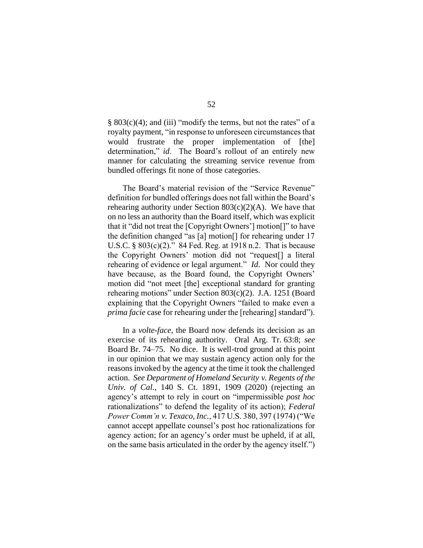§ 803(c)(4); and (iii) "modify the terms, but not the rates" of a royalty payment, "in response to unforeseen circumstances that would frustrate the proper implementation of [the] determination," *id*. The Board's rollout of an entirely new manner for calculating the streaming service revenue from bundled offerings fit none of those categories.

The Board's material revision of the "Service Revenue" definition for bundled offerings does not fall within the Board's rehearing authority under Section  $803(c)(2)(A)$ . We have that on no less an authority than the Board itself, which was explicit that it "did not treat the [Copyright Owners'] motion[]" to have the definition changed "as [a] motion[] for rehearing under 17 U.S.C. § 803(c)(2)." 84 Fed. Reg. at 1918 n.2. That is because the Copyright Owners' motion did not "request[] a literal rehearing of evidence or legal argument." *Id*. Nor could they have because, as the Board found, the Copyright Owners' motion did "not meet [the] exceptional standard for granting rehearing motions" under Section 803(c)(2). J.A. 1251 (Board explaining that the Copyright Owners "failed to make even a *prima facie* case for rehearing under the [rehearing] standard").

In a *volte-face*, the Board now defends its decision as an exercise of its rehearing authority. Oral Arg. Tr. 63:8; *see*  Board Br. 74–75. No dice. It is well-trod ground at this point in our opinion that we may sustain agency action only for the reasons invoked by the agency at the time it took the challenged action. *See Department of Homeland Security v. Regents of the Univ. of Cal.*, 140 S. Ct. 1891, 1909 (2020) (rejecting an agency's attempt to rely in court on "impermissible *post hoc* rationalizations" to defend the legality of its action); *Federal Power Comm'n v. Texaco, Inc.*, 417 U.S. 380, 397 (1974) ("We cannot accept appellate counsel's post hoc rationalizations for agency action; for an agency's order must be upheld, if at all, on the same basis articulated in the order by the agency itself.")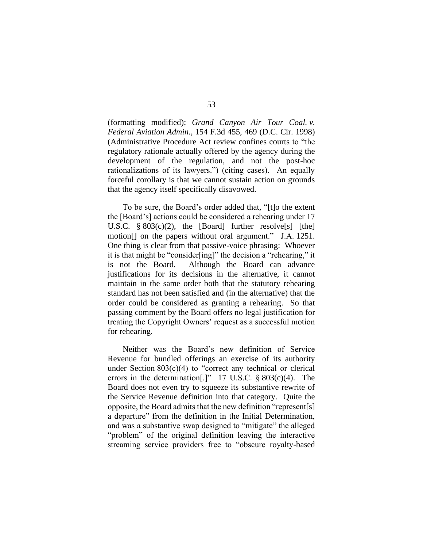(formatting modified); *Grand Canyon Air Tour Coal. v. Federal Aviation Admin.*, 154 F.3d 455, 469 (D.C. Cir. 1998) (Administrative Procedure Act review confines courts to "the regulatory rationale actually offered by the agency during the development of the regulation, and not the post-hoc rationalizations of its lawyers.") (citing cases). An equally forceful corollary is that we cannot sustain action on grounds that the agency itself specifically disavowed.

To be sure, the Board's order added that, "[t]o the extent the [Board's] actions could be considered a rehearing under 17 U.S.C.  $\S 803(c)(2)$ , the [Board] further resolve[s] [the] motion[] on the papers without oral argument." J.A. 1251. One thing is clear from that passive-voice phrasing: Whoever it is that might be "consider[ing]" the decision a "rehearing," it is not the Board. Although the Board can advance justifications for its decisions in the alternative, it cannot maintain in the same order both that the statutory rehearing standard has not been satisfied and (in the alternative) that the order could be considered as granting a rehearing. So that passing comment by the Board offers no legal justification for treating the Copyright Owners' request as a successful motion for rehearing.

Neither was the Board's new definition of Service Revenue for bundled offerings an exercise of its authority under Section  $803(c)(4)$  to "correct any technical or clerical errors in the determination<sup>[1]</sup> 17 U.S.C.  $\S 803(c)(4)$ . The Board does not even try to squeeze its substantive rewrite of the Service Revenue definition into that category. Quite the opposite, the Board admits that the new definition "represent[s] a departure" from the definition in the Initial Determination, and was a substantive swap designed to "mitigate" the alleged "problem" of the original definition leaving the interactive streaming service providers free to "obscure royalty-based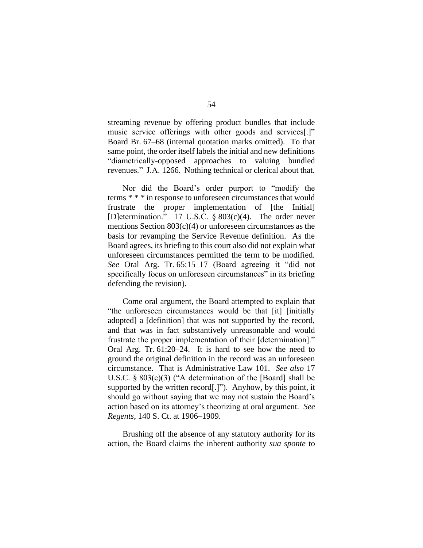streaming revenue by offering product bundles that include music service offerings with other goods and services[.]" Board Br. 67–68 (internal quotation marks omitted). To that same point, the order itself labels the initial and new definitions "diametrically-opposed approaches to valuing bundled revenues." J.A. 1266. Nothing technical or clerical about that.

Nor did the Board's order purport to "modify the terms \* \* \* in response to unforeseen circumstances that would frustrate the proper implementation of [the Initial] [D]etermination." 17 U.S.C. § 803(c)(4). The order never mentions Section 803(c)(4) or unforeseen circumstances as the basis for revamping the Service Revenue definition. As the Board agrees, its briefing to this court also did not explain what unforeseen circumstances permitted the term to be modified. *See* Oral Arg. Tr. 65:15–17 (Board agreeing it "did not specifically focus on unforeseen circumstances" in its briefing defending the revision).

Come oral argument, the Board attempted to explain that "the unforeseen circumstances would be that [it] [initially adopted] a [definition] that was not supported by the record, and that was in fact substantively unreasonable and would frustrate the proper implementation of their [determination]." Oral Arg. Tr. 61:20–24. It is hard to see how the need to ground the original definition in the record was an unforeseen circumstance. That is Administrative Law 101. *See also* 17 U.S.C. § 803(c)(3) ("A determination of the [Board] shall be supported by the written record[.]"). Anyhow, by this point, it should go without saying that we may not sustain the Board's action based on its attorney's theorizing at oral argument. *See Regents*, 140 S. Ct. at 1906–1909.

Brushing off the absence of any statutory authority for its action, the Board claims the inherent authority *sua sponte* to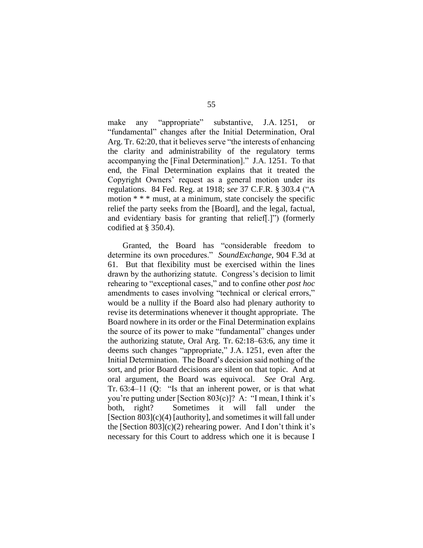make any "appropriate" substantive, J.A. 1251, or "fundamental" changes after the Initial Determination, Oral Arg. Tr. 62:20, that it believes serve "the interests of enhancing the clarity and administrability of the regulatory terms accompanying the [Final Determination]." J.A. 1251. To that end, the Final Determination explains that it treated the Copyright Owners' request as a general motion under its regulations. 84 Fed. Reg. at 1918; *see* 37 C.F.R. § 303.4 ("A motion \* \* \* must, at a minimum, state concisely the specific relief the party seeks from the [Board], and the legal, factual, and evidentiary basis for granting that relief[.]") (formerly codified at § 350.4).

Granted, the Board has "considerable freedom to determine its own procedures." *SoundExchange*, 904 F.3d at 61. But that flexibility must be exercised within the lines drawn by the authorizing statute. Congress's decision to limit rehearing to "exceptional cases," and to confine other *post hoc* amendments to cases involving "technical or clerical errors," would be a nullity if the Board also had plenary authority to revise its determinations whenever it thought appropriate. The Board nowhere in its order or the Final Determination explains the source of its power to make "fundamental" changes under the authorizing statute, Oral Arg. Tr. 62:18–63:6, any time it deems such changes "appropriate," J.A. 1251, even after the Initial Determination. The Board's decision said nothing of the sort, and prior Board decisions are silent on that topic. And at oral argument, the Board was equivocal. *See* Oral Arg. Tr. 63:4–11 (Q: "Is that an inherent power, or is that what you're putting under [Section 803(c)]? A: "I mean, I think it's both, right? Sometimes it will fall under the [Section 803](c)(4) [authority], and sometimes it will fall under the [Section 803](c)(2) rehearing power. And I don't think it's necessary for this Court to address which one it is because I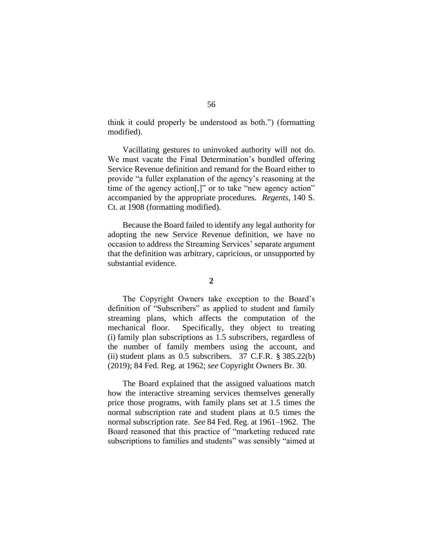think it could properly be understood as both.") (formatting modified).

Vacillating gestures to uninvoked authority will not do. We must vacate the Final Determination's bundled offering Service Revenue definition and remand for the Board either to provide "a fuller explanation of the agency's reasoning at the time of the agency action[,]" or to take "new agency action" accompanied by the appropriate procedures. *Regents*, 140 S. Ct. at 1908 (formatting modified).

Because the Board failed to identify any legal authority for adopting the new Service Revenue definition, we have no occasion to address the Streaming Services' separate argument that the definition was arbitrary, capricious, or unsupported by substantial evidence.

#### **2**

The Copyright Owners take exception to the Board's definition of "Subscribers" as applied to student and family streaming plans, which affects the computation of the mechanical floor. Specifically, they object to treating (i) family plan subscriptions as 1.5 subscribers, regardless of the number of family members using the account, and (ii) student plans as  $0.5$  subscribers. 37 C.F.R.  $\S 385.22(b)$ (2019); 84 Fed. Reg. at 1962; *see* Copyright Owners Br. 30.

The Board explained that the assigned valuations match how the interactive streaming services themselves generally price those programs, with family plans set at 1.5 times the normal subscription rate and student plans at 0.5 times the normal subscription rate. *See* 84 Fed. Reg. at 1961–1962. The Board reasoned that this practice of "marketing reduced rate subscriptions to families and students" was sensibly "aimed at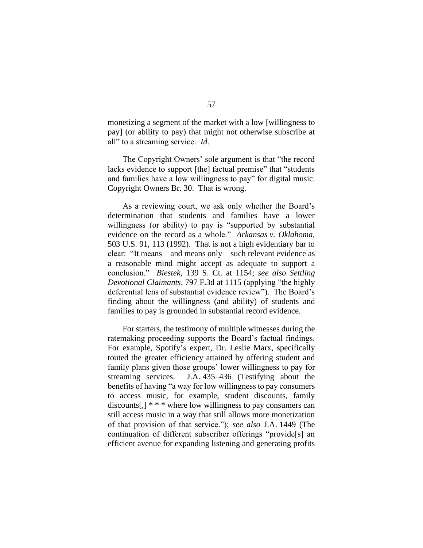monetizing a segment of the market with a low [willingness to pay] (or ability to pay) that might not otherwise subscribe at all" to a streaming service. *Id.*

The Copyright Owners' sole argument is that "the record lacks evidence to support [the] factual premise" that "students and families have a low willingness to pay" for digital music. Copyright Owners Br. 30. That is wrong.

As a reviewing court, we ask only whether the Board's determination that students and families have a lower willingness (or ability) to pay is "supported by substantial evidence on the record as a whole." *Arkansas v. Oklahoma*, 503 U.S. 91, 113 (1992). That is not a high evidentiary bar to clear: "It means—and means only—such relevant evidence as a reasonable mind might accept as adequate to support a conclusion." *Biestek*, 139 S. Ct. at 1154; *see also Settling Devotional Claimants*, 797 F.3d at 1115 (applying "the highly deferential lens of substantial evidence review"). The Board's finding about the willingness (and ability) of students and families to pay is grounded in substantial record evidence.

For starters, the testimony of multiple witnesses during the ratemaking proceeding supports the Board's factual findings. For example, Spotify's expert, Dr. Leslie Marx, specifically touted the greater efficiency attained by offering student and family plans given those groups' lower willingness to pay for streaming services. J.A. 435–436 (Testifying about the benefits of having "a way for low willingness to pay consumers to access music, for example, student discounts, family discounts[,]  $**$  \* where low willingness to pay consumers can still access music in a way that still allows more monetization of that provision of that service."); *see also* J.A. 1449 (The continuation of different subscriber offerings "provide[s] an efficient avenue for expanding listening and generating profits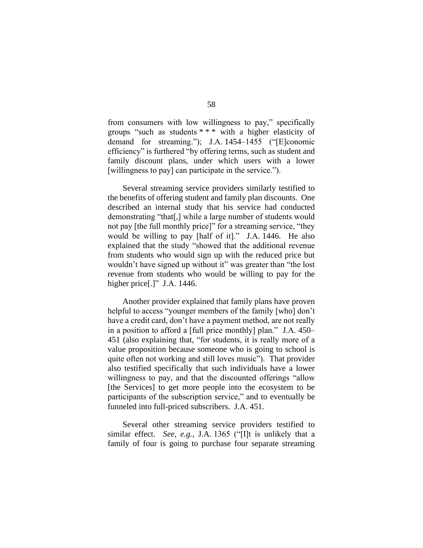from consumers with low willingness to pay," specifically groups "such as students \* \* \* with a higher elasticity of demand for streaming."); J.A. 1454–1455 ("[E]conomic efficiency" is furthered "by offering terms, such as student and family discount plans, under which users with a lower [willingness to pay] can participate in the service.").

Several streaming service providers similarly testified to the benefits of offering student and family plan discounts. One described an internal study that his service had conducted demonstrating "that[,] while a large number of students would not pay [the full monthly price]" for a streaming service, "they would be willing to pay [half of it]." J.A. 1446. He also explained that the study "showed that the additional revenue from students who would sign up with the reduced price but wouldn't have signed up without it" was greater than "the lost revenue from students who would be willing to pay for the higher price[.]" J.A. 1446.

Another provider explained that family plans have proven helpful to access "younger members of the family [who] don't have a credit card, don't have a payment method, are not really in a position to afford a [full price monthly] plan." J.A. 450– 451 (also explaining that, "for students, it is really more of a value proposition because someone who is going to school is quite often not working and still loves music"). That provider also testified specifically that such individuals have a lower willingness to pay, and that the discounted offerings "allow [the Services] to get more people into the ecosystem to be participants of the subscription service," and to eventually be funneled into full-priced subscribers. J.A. 451.

Several other streaming service providers testified to similar effect. *See, e.g.*, J.A. 1365 ("[I]t is unlikely that a family of four is going to purchase four separate streaming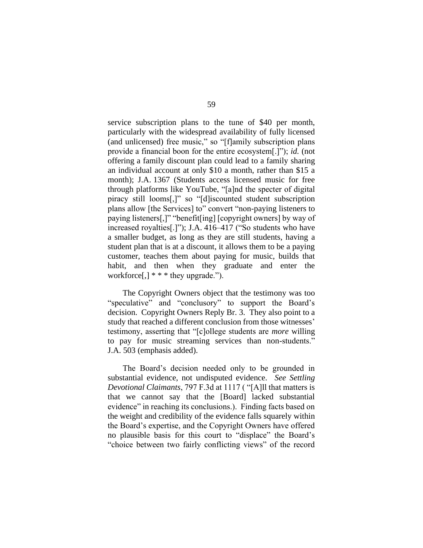service subscription plans to the tune of \$40 per month, particularly with the widespread availability of fully licensed (and unlicensed) free music," so "[f]amily subscription plans provide a financial boon for the entire ecosystem[.]"); *id.* (not offering a family discount plan could lead to a family sharing an individual account at only \$10 a month, rather than \$15 a month); J.A. 1367 (Students access licensed music for free through platforms like YouTube, "[a]nd the specter of digital piracy still looms[,]" so "[d]iscounted student subscription plans allow [the Services] to" convert "non-paying listeners to paying listeners[,]" "benefit[ing] [copyright owners] by way of increased royalties[.]"); J.A. 416–417 ("So students who have a smaller budget, as long as they are still students, having a student plan that is at a discount, it allows them to be a paying customer, teaches them about paying for music, builds that habit, and then when they graduate and enter the workforce[,] \* \* \* they upgrade.").

The Copyright Owners object that the testimony was too "speculative" and "conclusory" to support the Board's decision. Copyright Owners Reply Br. 3. They also point to a study that reached a different conclusion from those witnesses' testimony, asserting that "[c]ollege students are *more* willing to pay for music streaming services than non-students." J.A. 503 (emphasis added).

The Board's decision needed only to be grounded in substantial evidence, not undisputed evidence. *See Settling Devotional Claimants*, 797 F.3d at 1117 ( "[A]ll that matters is that we cannot say that the [Board] lacked substantial evidence" in reaching its conclusions.). Finding facts based on the weight and credibility of the evidence falls squarely within the Board's expertise, and the Copyright Owners have offered no plausible basis for this court to "displace" the Board's "choice between two fairly conflicting views" of the record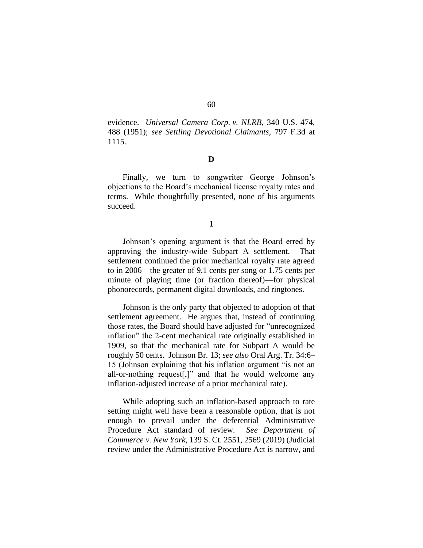evidence. *Universal Camera Corp. v. NLRB*, 340 U.S. 474, 488 (1951); *see Settling Devotional Claimants*, 797 F.3d at 1115.

#### **D**

Finally, we turn to songwriter George Johnson's objections to the Board's mechanical license royalty rates and terms. While thoughtfully presented, none of his arguments succeed.

#### **1**

Johnson's opening argument is that the Board erred by approving the industry-wide Subpart A settlement. That settlement continued the prior mechanical royalty rate agreed to in 2006—the greater of 9.1 cents per song or 1.75 cents per minute of playing time (or fraction thereof)—for physical phonorecords, permanent digital downloads, and ringtones.

Johnson is the only party that objected to adoption of that settlement agreement. He argues that, instead of continuing those rates, the Board should have adjusted for "unrecognized inflation" the 2-cent mechanical rate originally established in 1909, so that the mechanical rate for Subpart A would be roughly 50 cents. Johnson Br. 13; *see also* Oral Arg. Tr. 34:6– 15 (Johnson explaining that his inflation argument "is not an all-or-nothing request[,]" and that he would welcome any inflation-adjusted increase of a prior mechanical rate).

While adopting such an inflation-based approach to rate setting might well have been a reasonable option, that is not enough to prevail under the deferential Administrative Procedure Act standard of review. *See Department of Commerce v. New York*, 139 S. Ct. 2551, 2569 (2019) (Judicial review under the Administrative Procedure Act is narrow, and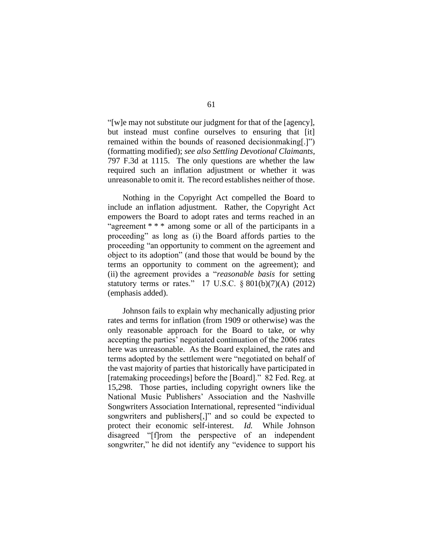"[w]e may not substitute our judgment for that of the [agency], but instead must confine ourselves to ensuring that [it] remained within the bounds of reasoned decisionmaking[.]") (formatting modified); *see also Settling Devotional Claimants*, 797 F.3d at 1115. The only questions are whether the law required such an inflation adjustment or whether it was unreasonable to omit it. The record establishes neither of those.

Nothing in the Copyright Act compelled the Board to include an inflation adjustment. Rather, the Copyright Act empowers the Board to adopt rates and terms reached in an "agreement \* \* \* among some or all of the participants in a proceeding" as long as (i) the Board affords parties to the proceeding "an opportunity to comment on the agreement and object to its adoption" (and those that would be bound by the terms an opportunity to comment on the agreement); and (ii) the agreement provides a "*reasonable basis* for setting statutory terms or rates." 17 U.S.C.  $\S 801(b)(7)(A)$  (2012) (emphasis added).

Johnson fails to explain why mechanically adjusting prior rates and terms for inflation (from 1909 or otherwise) was the only reasonable approach for the Board to take, or why accepting the parties' negotiated continuation of the 2006 rates here was unreasonable. As the Board explained, the rates and terms adopted by the settlement were "negotiated on behalf of the vast majority of parties that historically have participated in [ratemaking proceedings] before the [Board]." 82 Fed. Reg. at 15,298. Those parties, including copyright owners like the National Music Publishers' Association and the Nashville Songwriters Association International, represented "individual songwriters and publishers[,]" and so could be expected to protect their economic self-interest. *Id.* While Johnson disagreed "[f]rom the perspective of an independent songwriter," he did not identify any "evidence to support his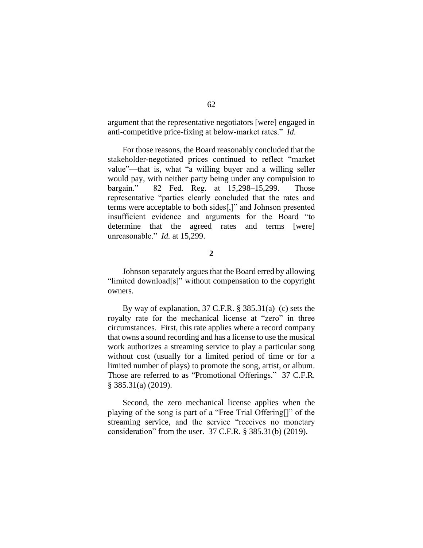argument that the representative negotiators [were] engaged in anti-competitive price-fixing at below-market rates." *Id.*

For those reasons, the Board reasonably concluded that the stakeholder-negotiated prices continued to reflect "market value"—that is, what "a willing buyer and a willing seller would pay, with neither party being under any compulsion to bargain." 82 Fed. Reg. at 15,298–15,299. Those representative "parties clearly concluded that the rates and terms were acceptable to both sides[,]" and Johnson presented insufficient evidence and arguments for the Board "to determine that the agreed rates and terms [were] unreasonable." *Id.* at 15,299.

**2**

Johnson separately argues that the Board erred by allowing "limited download[s]" without compensation to the copyright owners.

By way of explanation,  $37$  C.F.R. §  $385.31(a)$ –(c) sets the royalty rate for the mechanical license at "zero" in three circumstances. First, this rate applies where a record company that owns a sound recording and has a license to use the musical work authorizes a streaming service to play a particular song without cost (usually for a limited period of time or for a limited number of plays) to promote the song, artist, or album. Those are referred to as "Promotional Offerings." 37 C.F.R. § 385.31(a) (2019).

Second, the zero mechanical license applies when the playing of the song is part of a "Free Trial Offering[]" of the streaming service, and the service "receives no monetary consideration" from the user. 37 C.F.R. § 385.31(b) (2019).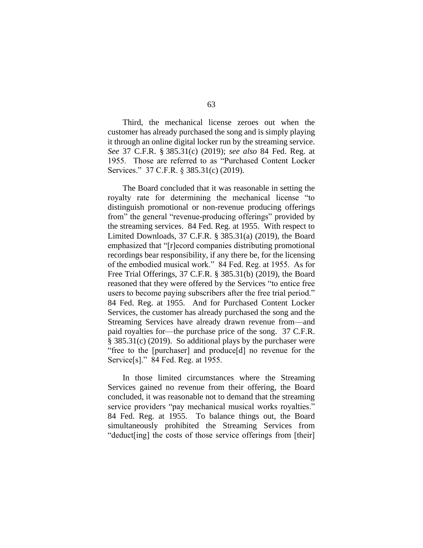Third, the mechanical license zeroes out when the customer has already purchased the song and is simply playing it through an online digital locker run by the streaming service. *See* 37 C.F.R. § 385.31(c) (2019); *see also* 84 Fed. Reg. at 1955. Those are referred to as "Purchased Content Locker Services." 37 C.F.R. § 385.31(c) (2019).

The Board concluded that it was reasonable in setting the royalty rate for determining the mechanical license "to distinguish promotional or non-revenue producing offerings from" the general "revenue-producing offerings" provided by the streaming services. 84 Fed. Reg. at 1955. With respect to Limited Downloads, 37 C.F.R. § 385.31(a) (2019), the Board emphasized that "[r]ecord companies distributing promotional recordings bear responsibility, if any there be, for the licensing of the embodied musical work." 84 Fed. Reg. at 1955. As for Free Trial Offerings, 37 C.F.R. § 385.31(b) (2019), the Board reasoned that they were offered by the Services "to entice free users to become paying subscribers after the free trial period." 84 Fed. Reg. at 1955. And for Purchased Content Locker Services, the customer has already purchased the song and the Streaming Services have already drawn revenue from—and paid royalties for—the purchase price of the song. 37 C.F.R. § 385.31(c) (2019). So additional plays by the purchaser were "free to the [purchaser] and produce[d] no revenue for the Service[s]." 84 Fed. Reg. at 1955.

In those limited circumstances where the Streaming Services gained no revenue from their offering, the Board concluded, it was reasonable not to demand that the streaming service providers "pay mechanical musical works royalties." 84 Fed. Reg. at 1955. To balance things out, the Board simultaneously prohibited the Streaming Services from "deduct[ing] the costs of those service offerings from [their]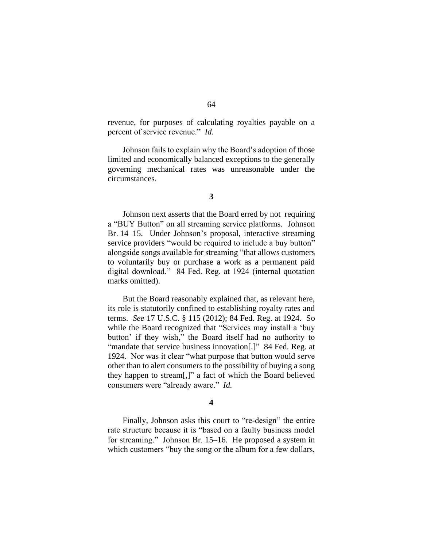revenue, for purposes of calculating royalties payable on a percent of service revenue." *Id.*

Johnson fails to explain why the Board's adoption of those limited and economically balanced exceptions to the generally governing mechanical rates was unreasonable under the circumstances.

Johnson next asserts that the Board erred by not requiring a "BUY Button" on all streaming service platforms. Johnson Br. 14–15. Under Johnson's proposal, interactive streaming service providers "would be required to include a buy button" alongside songs available for streaming "that allows customers to voluntarily buy or purchase a work as a permanent paid digital download." 84 Fed. Reg. at 1924 (internal quotation marks omitted).

But the Board reasonably explained that, as relevant here, its role is statutorily confined to establishing royalty rates and terms. *See* 17 U.S.C. § 115 (2012); 84 Fed. Reg. at 1924. So while the Board recognized that "Services may install a 'buy button' if they wish," the Board itself had no authority to "mandate that service business innovation[.]" 84 Fed. Reg. at 1924. Nor was it clear "what purpose that button would serve other than to alert consumers to the possibility of buying a song they happen to stream[,]" a fact of which the Board believed consumers were "already aware." *Id.*

#### **4**

Finally, Johnson asks this court to "re-design" the entire rate structure because it is "based on a faulty business model for streaming." Johnson Br. 15–16. He proposed a system in which customers "buy the song or the album for a few dollars,

**<sup>3</sup>**